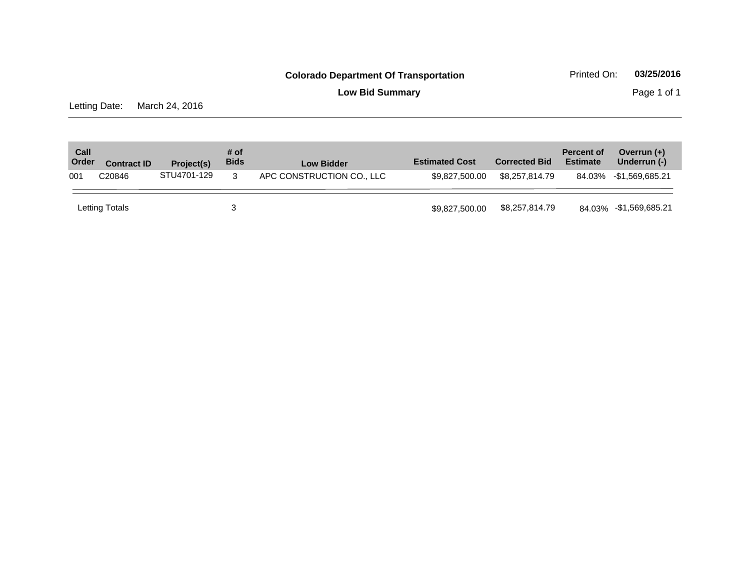**Low Bid Summary** Page 1 of 1

Letting Date: March 24, 2016

| Call<br>Order | <b>Contract ID</b> | Project(s)  | # of<br><b>Bids</b> | <b>Low Bidder</b>         | <b>Estimated Cost</b> | <b>Corrected Bid</b> | <b>Percent of</b><br><b>Estimate</b> | Overrun $(+)$<br>Underrun (-) |
|---------------|--------------------|-------------|---------------------|---------------------------|-----------------------|----------------------|--------------------------------------|-------------------------------|
| 001           | C20846             | STU4701-129 | 3                   | APC CONSTRUCTION CO., LLC | \$9.827.500.00        | \$8,257,814,79       |                                      | 84.03% -\$1,569,685.21        |
|               | Letting Totals     |             |                     |                           | \$9,827,500.00        | \$8,257,814.79       |                                      | 84.03% -\$1,569,685.21        |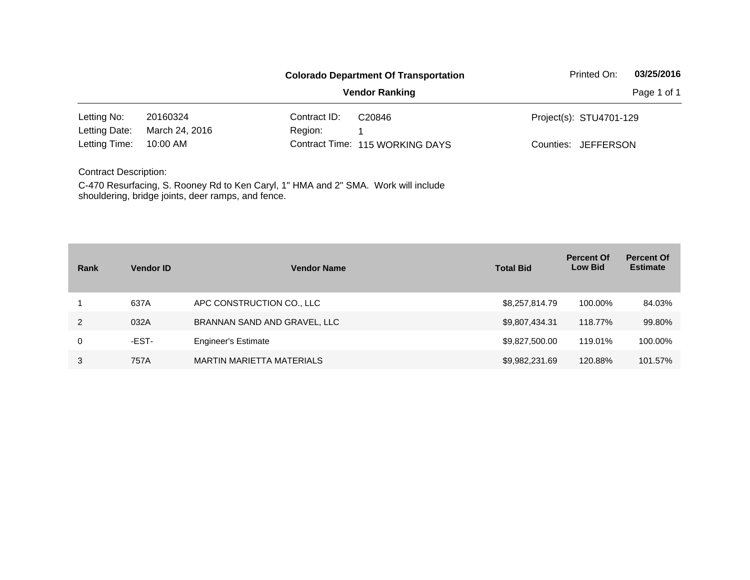|                              |                                                                                    |              | <b>Colorado Department Of Transportation</b> | Printed On:                   | 03/25/2016  |
|------------------------------|------------------------------------------------------------------------------------|--------------|----------------------------------------------|-------------------------------|-------------|
|                              |                                                                                    |              | <b>Vendor Ranking</b>                        |                               | Page 1 of 1 |
| Letting No:                  | 20160324                                                                           | Contract ID: | C <sub>20846</sub>                           | Project(s): STU4701-129       |             |
| Letting Date:                | March 24, 2016                                                                     | Region:      |                                              |                               |             |
| Letting Time:                | 10:00 AM                                                                           |              | Contract Time: 115 WORKING DAYS              | Counties:<br><b>JEFFERSON</b> |             |
| <b>Contract Description:</b> |                                                                                    |              |                                              |                               |             |
|                              | C-470 Resurfacing, S. Rooney Rd to Ken Caryl, 1" HMA and 2" SMA. Work will include |              |                                              |                               |             |

shouldering, bridge joints, deer ramps, and fence.

| Rank | <b>Vendor ID</b> | <b>Vendor Name</b>               | <b>Total Bid</b> | <b>Percent Of</b><br><b>Low Bid</b> | <b>Percent Of</b><br><b>Estimate</b> |
|------|------------------|----------------------------------|------------------|-------------------------------------|--------------------------------------|
|      | 637A             | APC CONSTRUCTION CO., LLC        | \$8,257,814.79   | 100.00%                             | 84.03%                               |
| 2    | 032A             | BRANNAN SAND AND GRAVEL, LLC     | \$9,807,434.31   | 118.77%                             | 99.80%                               |
| 0    | -EST-            | <b>Engineer's Estimate</b>       | \$9,827,500.00   | 119.01%                             | 100.00%                              |
| 3    | 757A             | <b>MARTIN MARIETTA MATERIALS</b> | \$9,982,231.69   | 120.88%                             | 101.57%                              |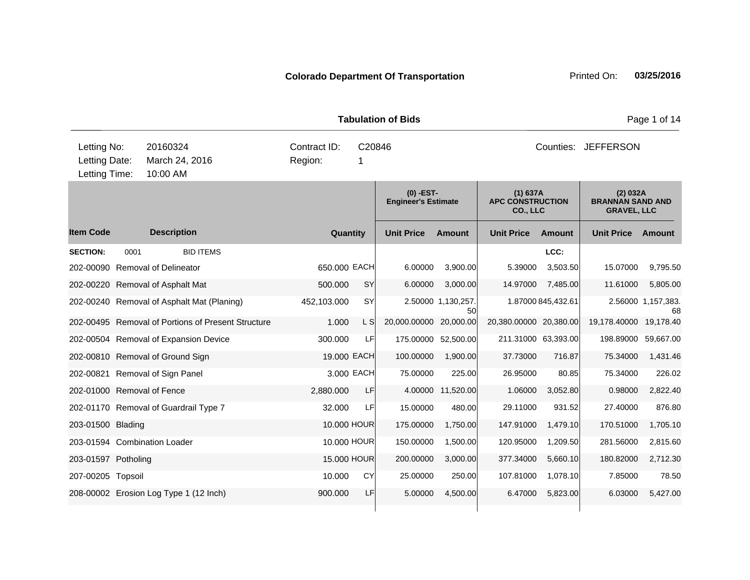|                                               |                                                    |                         |             | <b>Tabulation of Bids</b>                 |                          | Page 1 of 14                                    |                    |                                                           |                          |
|-----------------------------------------------|----------------------------------------------------|-------------------------|-------------|-------------------------------------------|--------------------------|-------------------------------------------------|--------------------|-----------------------------------------------------------|--------------------------|
| Letting No:<br>Letting Date:<br>Letting Time: | 20160324<br>March 24, 2016<br>10:00 AM             | Contract ID:<br>Region: | C20846<br>1 |                                           |                          | Counties: JEFFERSON                             |                    |                                                           |                          |
|                                               |                                                    |                         |             | $(0)$ -EST-<br><b>Engineer's Estimate</b> |                          | (1) 637A<br><b>APC CONSTRUCTION</b><br>CO., LLC |                    | (2) 032A<br><b>BRANNAN SAND AND</b><br><b>GRAVEL, LLC</b> |                          |
| ltem Code                                     | <b>Description</b>                                 | Quantity                |             | <b>Unit Price</b>                         | <b>Amount</b>            | <b>Unit Price</b>                               | <b>Amount</b>      | <b>Unit Price</b>                                         | Amount                   |
| <b>SECTION:</b><br>0001                       | <b>BID ITEMS</b>                                   |                         |             |                                           |                          |                                                 | LCC:               |                                                           |                          |
| 202-00090 Removal of Delineator               |                                                    | 650.000 EACH            |             | 6.00000                                   | 3,900.00                 | 5.39000                                         | 3,503.50           | 15.07000                                                  | 9,795.50                 |
| 202-00220 Removal of Asphalt Mat              |                                                    | 500.000                 | <b>SY</b>   | 6.00000                                   | 3,000.00                 | 14.97000                                        | 7,485.00           | 11.61000                                                  | 5,805.00                 |
|                                               | 202-00240 Removal of Asphalt Mat (Planing)         | 452,103.000             | <b>SY</b>   |                                           | 2.50000 1.130,257.<br>50 |                                                 | 1.87000 845,432.61 |                                                           | 2.56000 1,157,383.<br>68 |
|                                               | 202-00495 Removal of Portions of Present Structure | 1.000                   | L S         | 20,000.00000                              | 20,000.00                | 20,380.00000 20,380.00                          |                    | 19,178.40000                                              | 19,178.40                |
|                                               | 202-00504 Removal of Expansion Device              | 300.000                 | LF          |                                           | 175.00000 52,500.00      | 211.31000 63,393.00                             |                    | 198.89000                                                 | 59,667.00                |
| 202-00810 Removal of Ground Sign              |                                                    | 19.000 EACH             |             | 100.00000                                 | 1,900.00                 | 37.73000                                        | 716.87             | 75.34000                                                  | 1,431.46                 |
| 202-00821 Removal of Sign Panel               |                                                    |                         | 3.000 EACH  | 75.00000                                  | 225.00                   | 26.95000                                        | 80.85              | 75.34000                                                  | 226.02                   |
| 202-01000 Removal of Fence                    |                                                    | 2,880.000               | LF          |                                           | 4.00000 11,520.00        | 1.06000                                         | 3,052.80           | 0.98000                                                   | 2,822.40                 |
|                                               | 202-01170 Removal of Guardrail Type 7              | 32.000                  | LF          | 15.00000                                  | 480.00                   | 29.11000                                        | 931.52             | 27.40000                                                  | 876.80                   |
| 203-01500 Blading                             |                                                    | 10,000 HOUR             |             | 175.00000                                 | 1,750.00                 | 147.91000                                       | 1,479.10           | 170.51000                                                 | 1,705.10                 |
| 203-01594 Combination Loader                  |                                                    | 10.000 HOUR             |             | 150.00000                                 | 1,500.00                 | 120.95000                                       | 1,209.50           | 281.56000                                                 | 2,815.60                 |
| 203-01597 Potholing                           |                                                    | 15.000 HOUR             |             | 200.00000                                 | 3,000.00                 | 377.34000                                       | 5,660.10           | 180.82000                                                 | 2,712.30                 |
| 207-00205 Topsoil                             |                                                    | 10.000                  | CY          | 25.00000                                  | 250.00                   | 107.81000                                       | 1,078.10           | 7.85000                                                   | 78.50                    |
|                                               | 208-00002 Erosion Log Type 1 (12 Inch)             | 900.000                 | LF          | 5.00000                                   | 4,500.00                 | 6.47000                                         | 5,823.00           | 6.03000                                                   | 5,427.00                 |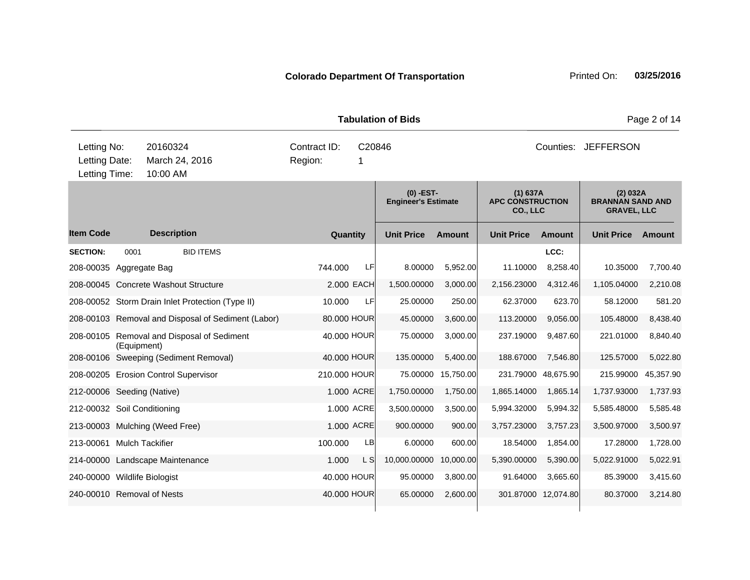|                                               |             |                                        |                                                    |                         |          |              | <b>Tabulation of Bids</b>                 |               | Page 2 of 14                                    |                     |                                                           |               |  |
|-----------------------------------------------|-------------|----------------------------------------|----------------------------------------------------|-------------------------|----------|--------------|-------------------------------------------|---------------|-------------------------------------------------|---------------------|-----------------------------------------------------------|---------------|--|
| Letting No:<br>Letting Date:<br>Letting Time: |             | 20160324<br>March 24, 2016<br>10:00 AM |                                                    | Contract ID:<br>Region: |          | C20846<br>1  |                                           |               | Counties: JEFFERSON                             |                     |                                                           |               |  |
|                                               |             |                                        |                                                    |                         |          |              | $(0)$ -EST-<br><b>Engineer's Estimate</b> |               | (1) 637A<br><b>APC CONSTRUCTION</b><br>CO., LLC |                     | (2) 032A<br><b>BRANNAN SAND AND</b><br><b>GRAVEL, LLC</b> |               |  |
| ltem Code                                     |             | <b>Description</b>                     |                                                    |                         | Quantity |              | <b>Unit Price</b>                         | <b>Amount</b> | <b>Unit Price</b>                               | <b>Amount</b>       | <b>Unit Price</b>                                         | <b>Amount</b> |  |
| <b>SECTION:</b>                               | 0001        |                                        | <b>BID ITEMS</b>                                   |                         |          |              |                                           |               |                                                 | LCC:                |                                                           |               |  |
| 208-00035 Aggregate Bag                       |             |                                        |                                                    | 744.000                 |          | LF           | 8.00000                                   | 5,952.00      | 11.10000                                        | 8,258.40            | 10.35000                                                  | 7,700.40      |  |
| 208-00045 Concrete Washout Structure          |             |                                        |                                                    |                         |          | 2.000 EACH   | 1,500.00000                               | 3,000.00      | 2,156.23000                                     | 4,312.46            | 1,105.04000                                               | 2,210.08      |  |
|                                               |             |                                        | 208-00052 Storm Drain Inlet Protection (Type II)   |                         | 10.000   | LF           | 25.00000                                  | 250.00        | 62.37000                                        | 623.70              | 58.12000                                                  | 581.20        |  |
|                                               |             |                                        | 208-00103 Removal and Disposal of Sediment (Labor) |                         |          | 80.000 HOUR  | 45.00000                                  | 3,600.00      | 113.20000                                       | 9,056.00            | 105.48000                                                 | 8,438.40      |  |
|                                               | (Equipment) |                                        | 208-00105 Removal and Disposal of Sediment         |                         |          | 40.000 HOUR  | 75.00000                                  | 3,000.00      | 237.19000                                       | 9,487.60            | 221.01000                                                 | 8,840.40      |  |
|                                               |             |                                        | 208-00106 Sweeping (Sediment Removal)              |                         |          | 40.000 HOUR  | 135.00000                                 | 5,400.00      | 188.67000                                       | 7,546.80            | 125.57000                                                 | 5,022.80      |  |
| 208-00205 Erosion Control Supervisor          |             |                                        |                                                    |                         |          | 210.000 HOUR | 75.00000                                  | 15,750.00     |                                                 | 231.79000 48,675.90 | 215.99000                                                 | 45,357.90     |  |
| 212-00006 Seeding (Native)                    |             |                                        |                                                    |                         |          | 1.000 ACRE   | 1,750.00000                               | 1,750.00      | 1,865.14000                                     | 1,865.14            | 1,737.93000                                               | 1,737.93      |  |
| 212-00032 Soil Conditioning                   |             |                                        |                                                    |                         |          | 1.000 ACRE   | 3,500.00000                               | 3,500.00      | 5,994.32000                                     | 5,994.32            | 5,585.48000                                               | 5,585.48      |  |
| 213-00003 Mulching (Weed Free)                |             |                                        |                                                    |                         |          | 1.000 ACRE   | 900.00000                                 | 900.00        | 3,757.23000                                     | 3,757.23            | 3,500.97000                                               | 3,500.97      |  |
| 213-00061 Mulch Tackifier                     |             |                                        |                                                    | 100.000                 |          | LB           | 6.00000                                   | 600.00        | 18.54000                                        | 1,854.00            | 17.28000                                                  | 1,728.00      |  |
| 214-00000 Landscape Maintenance               |             |                                        |                                                    |                         | 1.000    | L SI         | 10,000.00000                              | 10,000.00     | 5,390.00000                                     | 5,390.00            | 5,022.91000                                               | 5,022.91      |  |
| 240-00000 Wildlife Biologist                  |             |                                        |                                                    |                         |          | 40.000 HOUR  | 95.00000                                  | 3,800.00      | 91.64000                                        | 3,665.60            | 85.39000                                                  | 3,415.60      |  |
| 240-00010 Removal of Nests                    |             |                                        |                                                    |                         |          | 40.000 HOUR  | 65.00000                                  | 2,600.00      |                                                 | 301.87000 12,074.80 | 80.37000                                                  | 3,214.80      |  |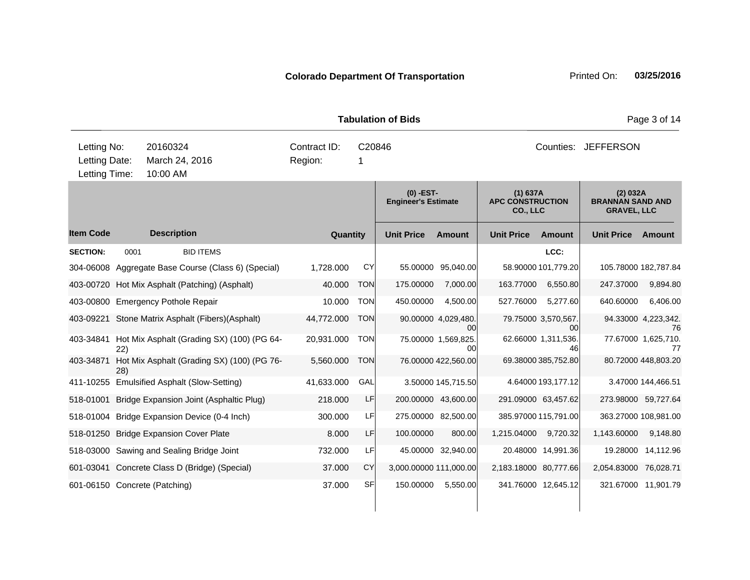|                                                                                         |      |                                                     |                         |             | <b>Tabulation of Bids</b>                 |                           | Page 3 of 14                                    |                           |                                                           |                           |  |
|-----------------------------------------------------------------------------------------|------|-----------------------------------------------------|-------------------------|-------------|-------------------------------------------|---------------------------|-------------------------------------------------|---------------------------|-----------------------------------------------------------|---------------------------|--|
| Letting No:<br>20160324<br>March 24, 2016<br>Letting Date:<br>Letting Time:<br>10:00 AM |      |                                                     | Contract ID:<br>Region: | C20846<br>1 |                                           |                           | Counties: JEFFERSON                             |                           |                                                           |                           |  |
|                                                                                         |      |                                                     |                         |             | $(0)$ -EST-<br><b>Engineer's Estimate</b> |                           | (1) 637A<br><b>APC CONSTRUCTION</b><br>CO., LLC |                           | (2) 032A<br><b>BRANNAN SAND AND</b><br><b>GRAVEL, LLC</b> |                           |  |
| ltem Code                                                                               |      | <b>Description</b>                                  | Quantity                |             | <b>Unit Price</b>                         | <b>Amount</b>             | <b>Unit Price</b>                               | <b>Amount</b>             | <b>Unit Price</b>                                         | <b>Amount</b>             |  |
| <b>SECTION:</b>                                                                         | 0001 | <b>BID ITEMS</b>                                    |                         |             |                                           |                           |                                                 | LCC:                      |                                                           |                           |  |
|                                                                                         |      | 304-06008 Aggregate Base Course (Class 6) (Special) | 1,728.000               | CY          |                                           | 55.00000 95,040.00        |                                                 | 58.90000 101,779.20       | 105.78000 182,787.84                                      |                           |  |
|                                                                                         |      | 403-00720 Hot Mix Asphalt (Patching) (Asphalt)      | 40.000                  | <b>TON</b>  | 175.00000                                 | 7,000.00                  | 163.77000                                       | 6,550.80                  | 247.37000                                                 | 9,894.80                  |  |
|                                                                                         |      | 403-00800 Emergency Pothole Repair                  | 10.000                  | <b>TON</b>  | 450.00000                                 | 4,500.00                  | 527.76000                                       | 5,277.60                  | 640.60000                                                 | 6,406.00                  |  |
|                                                                                         |      | 403-09221 Stone Matrix Asphalt (Fibers)(Asphalt)    | 44,772.000              | <b>TON</b>  |                                           | 90.00000 4,029,480.<br>ΩO |                                                 | 79.75000 3,570,567.<br>00 |                                                           | 94.33000 4,223,342.<br>76 |  |
| 403-34841                                                                               | 22)  | Hot Mix Asphalt (Grading SX) (100) (PG 64-          | 20,931.000              | <b>TON</b>  |                                           | 75.00000 1,569,825.<br>00 |                                                 | 62.66000 1.311,536.<br>46 |                                                           | 77.67000 1,625,710.<br>77 |  |
| 403-34871                                                                               | 28)  | Hot Mix Asphalt (Grading SX) (100) (PG 76-          | 5,560.000               | <b>TON</b>  |                                           | 76.00000 422,560.00       |                                                 | 69.38000 385,752.80       |                                                           | 80.72000 448,803.20       |  |
|                                                                                         |      | 411-10255 Emulsified Asphalt (Slow-Setting)         | 41,633.000              | GAL         |                                           | 3.50000 145,715.50        |                                                 | 4.64000 193,177.12        |                                                           | 3.47000 144,466.51        |  |
| 518-01001                                                                               |      | Bridge Expansion Joint (Asphaltic Plug)             | 218.000                 | LF          |                                           | 200.00000 43,600.00       | 291.09000 63,457.62                             |                           | 273.98000 59,727.64                                       |                           |  |
|                                                                                         |      | 518-01004 Bridge Expansion Device (0-4 Inch)        | 300.000                 | LF          |                                           | 275.00000 82,500.00       |                                                 | 385.97000 115,791.00      | 363.27000 108,981.00                                      |                           |  |
|                                                                                         |      | 518-01250 Bridge Expansion Cover Plate              | 8.000                   | LF          | 100.00000                                 | 800.00                    | 1,215.04000                                     | 9,720.32                  | 1,143.60000                                               | 9,148.80                  |  |
|                                                                                         |      | 518-03000 Sawing and Sealing Bridge Joint           | 732.000                 | LF          |                                           | 45.00000 32,940.00        |                                                 | 20.48000 14,991.36        |                                                           | 19.28000 14,112.96        |  |
|                                                                                         |      | 601-03041 Concrete Class D (Bridge) (Special)       | 37.000                  | <b>CY</b>   | 3,000.00000 111,000.00                    |                           | 2,183.18000 80,777.66                           |                           | 2,054.83000 76,028.71                                     |                           |  |
|                                                                                         |      | 601-06150 Concrete (Patching)                       | 37.000                  | SFI         | 150.00000                                 | 5,550.00                  | 341.76000 12,645.12                             |                           | 321.67000 11,901.79                                       |                           |  |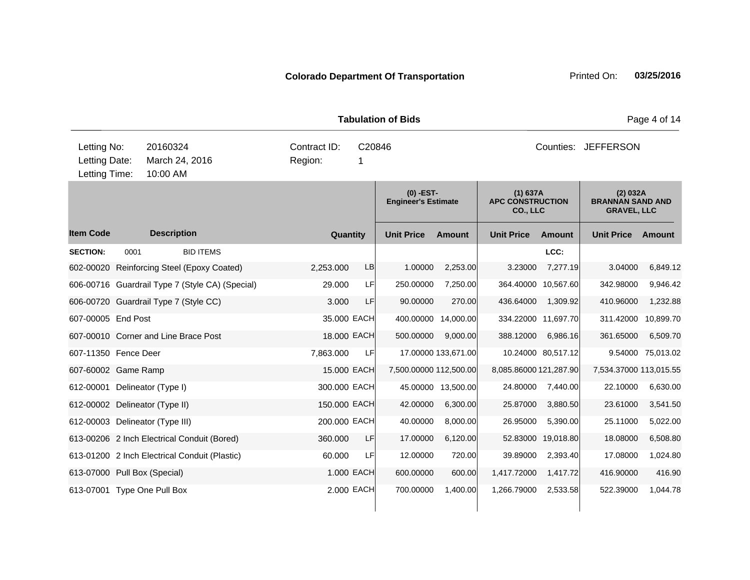**Quantity Unit Price Unit Price Ext** Item Code Description Quantity Unit Price Amount Unit Price Amount Unit Price **Ext Unit Price Amount Ext Amount (0) -EST-Engineer's Estimate (1) 637A APC CONSTRUCTION CO., LLC (2) 032A BRANNAN SAND AND GRAVEL, LLC Description SECTION:** 0001 BID ITEMS **LCC:** 602-00020 Reinforcing Steel (Epoxy Coated) 2,253.000 LB 1.00000 2,253.00 3.23000 7,277.19 3.04000 6,849.12 606-00716 Guardrail Type 7 (Style CA) (Special) 29.000 LF 250.00000 7,250.00 364.40000 10,567.60 342.98000 9,946.42 606-00720 Guardrail Type 7 (Style CC) 3.000 LF 90.00000 270.00 436.64000 1,309.92 410.96000 1,232.88 607-00005 End Post 35.000 EACH 400.00000 14,000.00 334.22000 11,697.70 311.42000 10,899.70 607-00010 Corner and Line Brace Post 18.000 EACH 500.00000 9,000.00 388.12000 6,986.16 361.65000 6,509.70 607-11350 Fence Deer 7,863.000 LF 17.00000 133,671.00 10.24000 80,517.12 9.54000 75,013.02 607-60002 Game Ramp 15.000 EACH 7,500.00000 112,500.00 8,085.86000 121,287.90 7,534.37000 113,015.55 612-00001 Delineator (Type I) 300.000 EACH 45.00000 13,500.00 24.80000 7,440.00 22.10000 6,630.00 612-00002 Delineator (Type II) 150.000 EACH 42.00000 6,300.00 25.87000 3,880.50 23.61000 3,541.50 612-00003 Delineator (Type III) 200.000 EACH 40.00000 8,000.00 26.95000 5,390.00 25.11000 5,022.00 613-00206 2 Inch Electrical Conduit (Bored) 360.000 LF 17.00000 6,120.00 52.83000 19,018.80 18.08000 6,508.80 613-01200 2 Inch Electrical Conduit (Plastic) 60.000 LF 12.00000 720.00 39.89000 2,393.40 17.08000 1,024.80 613-07000 Pull Box (Special) 1.000 EACH 600.00000 600.00 1,417.72000 1,417.72 416.90000 416.90 613-07001 Type One Pull Box 2.000 EACH 700.00000 1,400.00 1,266.79000 2,533.58 522.39000 1,044.78 **Tabulation of Bids Page 4 of 14** 10:00 AM Counties: JEFFERSON Letting Date: March 24, 2016 1 Region: 1 C20846 Region: Letting Time: Letting No: 20160324 Contract ID: Counties: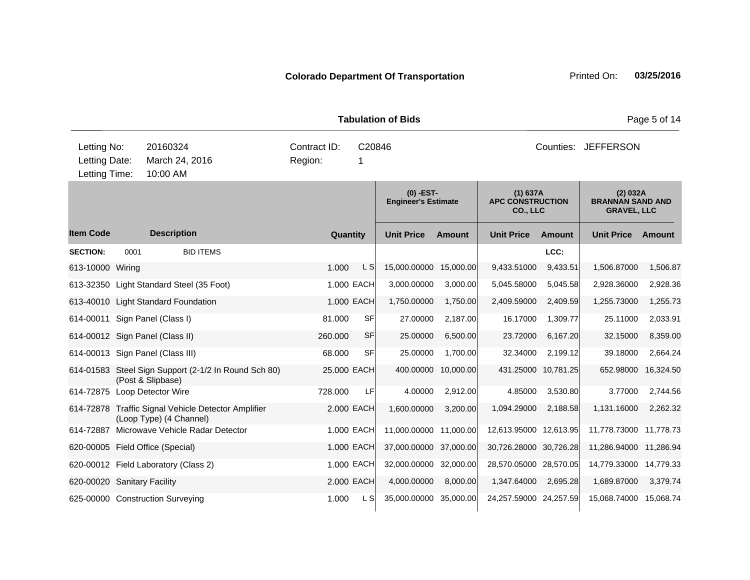|                                               |      |                                                                                |                         | <b>Tabulation of Bids</b> |                                           | Page 5 of 14        |                                                 |          |                                                           |           |  |
|-----------------------------------------------|------|--------------------------------------------------------------------------------|-------------------------|---------------------------|-------------------------------------------|---------------------|-------------------------------------------------|----------|-----------------------------------------------------------|-----------|--|
| Letting No:<br>Letting Date:<br>Letting Time: |      | 20160324<br>March 24, 2016<br>10:00 AM                                         | Contract ID:<br>Region: | C20846<br>1               |                                           |                     | Counties: JEFFERSON                             |          |                                                           |           |  |
|                                               |      |                                                                                |                         |                           | $(0)$ -EST-<br><b>Engineer's Estimate</b> |                     | (1) 637A<br><b>APC CONSTRUCTION</b><br>CO., LLC |          | (2) 032A<br><b>BRANNAN SAND AND</b><br><b>GRAVEL, LLC</b> |           |  |
| <b>Item Code</b>                              |      | <b>Description</b>                                                             | Quantity                |                           | <b>Unit Price</b>                         | Amount              | <b>Unit Price</b>                               | Amount   | <b>Unit Price</b>                                         | Amount    |  |
| <b>SECTION:</b>                               | 0001 | <b>BID ITEMS</b>                                                               |                         |                           |                                           |                     |                                                 | LCC:     |                                                           |           |  |
| 613-10000 Wiring                              |      |                                                                                | 1.000                   | L S                       | 15,000.00000                              | 15,000.00           | 9,433.51000                                     | 9,433.51 | 1,506.87000                                               | 1,506.87  |  |
|                                               |      | 613-32350 Light Standard Steel (35 Foot)                                       |                         | 1.000 EACH                | 3,000.00000                               | 3,000.00            | 5,045.58000                                     | 5,045.58 | 2,928.36000                                               | 2,928.36  |  |
|                                               |      | 613-40010 Light Standard Foundation                                            |                         | 1.000 EACH                | 1,750.00000                               | 1,750.00            | 2,409.59000                                     | 2,409.59 | 1,255.73000                                               | 1,255.73  |  |
|                                               |      | 614-00011 Sign Panel (Class I)                                                 | 81.000                  | SF                        | 27.00000                                  | 2,187.00            | 16.17000                                        | 1,309.77 | 25.11000                                                  | 2,033.91  |  |
|                                               |      | 614-00012 Sign Panel (Class II)                                                | 260,000                 | SFI                       | 25.00000                                  | 6,500.00            | 23.72000                                        | 6,167.20 | 32.15000                                                  | 8,359.00  |  |
|                                               |      | 614-00013 Sign Panel (Class III)                                               | 68.000                  | SF                        | 25.00000                                  | 1,700.00            | 32.34000                                        | 2,199.12 | 39.18000                                                  | 2,664.24  |  |
|                                               |      | 614-01583 Steel Sign Support (2-1/2 In Round Sch 80)<br>(Post & Slipbase)      | 25.000 EACH             |                           |                                           | 400.00000 10,000.00 | 431.25000 10,781.25                             |          | 652.98000                                                 | 16,324.50 |  |
|                                               |      | 614-72875 Loop Detector Wire                                                   | 728.000                 | LF                        | 4.00000                                   | 2,912.00            | 4.85000                                         | 3,530.80 | 3.77000                                                   | 2,744.56  |  |
|                                               |      | 614-72878 Traffic Signal Vehicle Detector Amplifier<br>(Loop Type) (4 Channel) |                         | 2,000 EACH                | 1,600.00000                               | 3,200.00            | 1,094.29000                                     | 2,188.58 | 1,131.16000                                               | 2,262.32  |  |
|                                               |      | 614-72887 Microwave Vehicle Radar Detector                                     |                         | 1.000 EACH                | 11,000.00000 11,000.00                    |                     | 12,613.95000 12,613.95                          |          | 11,778.73000                                              | 11,778.73 |  |
|                                               |      | 620-00005 Field Office (Special)                                               |                         | 1.000 EACH                | 37,000.00000 37,000.00                    |                     | 30,726.28000 30,726.28                          |          | 11,286.94000                                              | 11,286.94 |  |
|                                               |      | 620-00012 Field Laboratory (Class 2)                                           |                         | 1.000 EACH                | 32,000.00000 32,000.00                    |                     | 28,570.05000 28,570.05                          |          | 14,779.33000 14,779.33                                    |           |  |
| 620-00020 Sanitary Facility                   |      |                                                                                |                         | 2.000 EACH                | 4,000.00000                               | 8,000.00            | 1,347.64000                                     | 2,695.28 | 1,689.87000                                               | 3,379.74  |  |

625-00000 Construction Surveying 1.000 L S 35,000.00000 35,000.00 24,257.59000 24,257.59 15,068.74000 15,068.74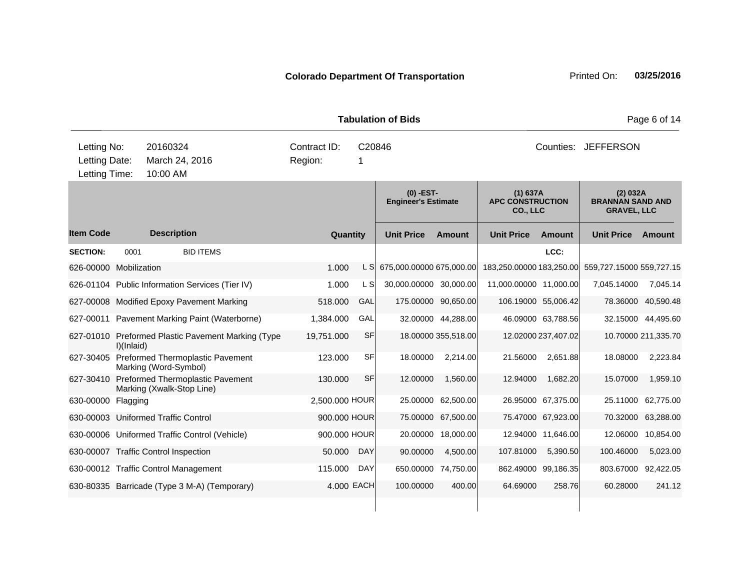|                                               |                    |                                                                         |                                        |            | <b>Tabulation of Bids</b>                 |                     | Page 6 of 14                                    |                     |                                                           |                     |  |
|-----------------------------------------------|--------------------|-------------------------------------------------------------------------|----------------------------------------|------------|-------------------------------------------|---------------------|-------------------------------------------------|---------------------|-----------------------------------------------------------|---------------------|--|
| Letting No:<br>Letting Date:<br>Letting Time: |                    | 20160324<br>March 24, 2016<br>10:00 AM                                  | Contract ID:<br>C20846<br>Region:<br>1 |            |                                           |                     | Counties: JEFFERSON                             |                     |                                                           |                     |  |
|                                               |                    |                                                                         |                                        |            | $(0)$ -EST-<br><b>Engineer's Estimate</b> |                     | (1) 637A<br><b>APC CONSTRUCTION</b><br>CO., LLC |                     | (2) 032A<br><b>BRANNAN SAND AND</b><br><b>GRAVEL, LLC</b> |                     |  |
| <b>Item Code</b>                              |                    | <b>Description</b>                                                      | Quantity                               |            | <b>Unit Price</b>                         | <b>Amount</b>       | <b>Unit Price</b>                               | <b>Amount</b>       | <b>Unit Price</b>                                         | Amount              |  |
| <b>SECTION:</b>                               | 0001               | <b>BID ITEMS</b>                                                        |                                        |            |                                           |                     |                                                 | LCC:                |                                                           |                     |  |
| 626-00000 Mobilization                        |                    |                                                                         | 1.000                                  | L SI       | 675,000.00000 675,000.00                  |                     | 183,250.00000 183,250.00                        |                     | 559,727.15000 559,727.15                                  |                     |  |
|                                               |                    | 626-01104 Public Information Services (Tier IV)                         | 1.000                                  | L SI       | 30,000.00000 30,000.00                    |                     | 11,000.00000 11,000.00                          |                     | 7,045.14000                                               | 7,045.14            |  |
|                                               |                    | 627-00008 Modified Epoxy Pavement Marking                               | 518.000                                | GAL        |                                           | 175.00000 90,650.00 | 106.19000 55,006.42                             |                     |                                                           | 78.36000 40,590.48  |  |
|                                               |                    | 627-00011 Pavement Marking Paint (Waterborne)                           | 1,384.000                              | GAL        |                                           | 32.00000 44,288.00  |                                                 | 46.09000 63,788.56  | 32.15000                                                  | 44,495.60           |  |
|                                               | $I$ $I$ Inlaid $I$ | 627-01010 Preformed Plastic Pavement Marking (Type                      | 19,751.000                             | SF         |                                           | 18.00000 355,518.00 |                                                 | 12.02000 237,407.02 |                                                           | 10.70000 211,335.70 |  |
|                                               |                    | 627-30405 Preformed Thermoplastic Pavement<br>Marking (Word-Symbol)     | 123.000                                | SF         | 18.00000                                  | 2,214.00            | 21.56000                                        | 2,651.88            | 18.08000                                                  | 2,223.84            |  |
|                                               |                    | 627-30410 Preformed Thermoplastic Pavement<br>Marking (Xwalk-Stop Line) | 130,000                                | SF         | 12.00000                                  | 1,560.00            | 12.94000                                        | 1,682.20            | 15.07000                                                  | 1,959.10            |  |
| 630-00000 Flagging                            |                    |                                                                         | 2,500.000 HOUR                         |            |                                           | 25.00000 62,500.00  |                                                 | 26.95000 67,375.00  | 25.11000                                                  | 62,775.00           |  |
|                                               |                    | 630-00003 Uniformed Traffic Control                                     | 900.000 HOUR                           |            | 75.00000                                  | 67,500.00           |                                                 | 75.47000 67,923.00  | 70.32000                                                  | 63,288.00           |  |
|                                               |                    | 630-00006 Uniformed Traffic Control (Vehicle)                           | 900,000 HOUR                           |            |                                           | 20.00000 18,000.00  |                                                 | 12.94000 11,646.00  | 12.06000                                                  | 10,854.00           |  |
|                                               |                    | 630-00007 Traffic Control Inspection                                    | 50.000                                 | <b>DAY</b> | 90.00000                                  | 4,500.00            | 107.81000                                       | 5,390.50            | 100.46000                                                 | 5,023.00            |  |
|                                               |                    | 630-00012 Traffic Control Management                                    | 115.000                                | <b>DAY</b> |                                           | 650.00000 74,750.00 |                                                 | 862.49000 99,186.35 | 803.67000 92,422.05                                       |                     |  |

630-80335 Barricade (Type 3 M-A) (Temporary) 4.000 EACH 100.00000 400.00 64.69000 258.76 60.28000 241.12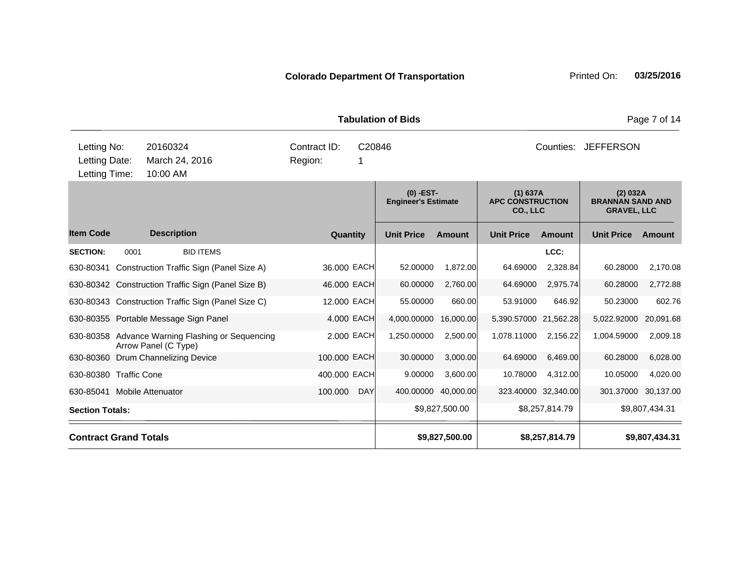**Quantity Unit Price Unit Price Ext** Item Code Description Quantity Unit Price Amount Unit Price Amount Unit Price **Ext Unit Price Amount Ext Amount (0) -EST-Engineer's Estimate (1) 637A APC CONSTRUCTION CO., LLC (2) 032A BRANNAN SAND AND GRAVEL, LLC Description SECTION:** 0001 BID ITEMS **LCC:** 630-80341 Construction Traffic Sign (Panel Size A) 36.000 EACH 52.00000 1,872.00 64.69000 2,328.84 60.28000 2,170.08 630-80342 Construction Traffic Sign (Panel Size B) 46.000 EACH 60.00000 2,760.00 64.69000 2,975.74 60.28000 2,772.88 630-80343 Construction Traffic Sign (Panel Size C) 12.000 EACH 55.00000 660.00 53.91000 646.92 50.23000 602.76 630-80355 Portable Message Sign Panel 4.000 EACH 4,000.00000 16,000.00 5,390.57000 21,562.28 5,022.92000 20,091.68 630-80358 Advance Warning Flashing or Sequencing Arrow Panel (C Type) 2.000 EACH 1,250.00000 2,500.00 1,078.11000 2,156.22 1,004.59000 2,009.18 630-80360 Drum Channelizing Device 100.000 EACH 30.00000 3,000.00 64.69000 6,469.00 60.28000 6,028.00 630-80380 Traffic Cone 400.000 EACH 9.00000 3,600.00 10.78000 4,312.00 10.05000 4,020.00 630-85041 Mobile Attenuator 100.000 DAY 400.00000 40,000.00 323.40000 32,340.00 301.37000 30,137.00 Section Totals: \$9,827,500.00 \$8,257,814.79 \$9,807,434.31 **Contract Grand Totals \$9,827,500.00 \$8,257,814.79 \$9,807,434.31 Tabulation of Bids** Page 7 of 14 10:00 AM Counties: JEFFERSON Letting Date: March 24, 2016 1 Region: 1 C20846 Region: Letting Time: Letting No: 20160324 Contract ID: Counties: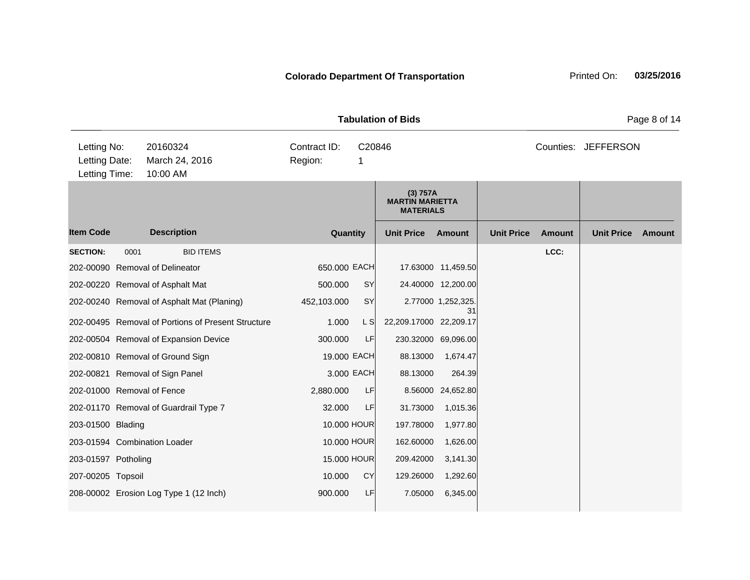|                                               |      |                                                    | <b>Tabulation of Bids</b>              | Page 8 of 14      |                                                        |                          |               |                     |               |  |
|-----------------------------------------------|------|----------------------------------------------------|----------------------------------------|-------------------|--------------------------------------------------------|--------------------------|---------------|---------------------|---------------|--|
| Letting No:<br>Letting Date:<br>Letting Time: |      | 20160324<br>March 24, 2016<br>10:00 AM             | Contract ID:<br>C20846<br>Region:<br>1 |                   |                                                        |                          |               | Counties: JEFFERSON |               |  |
|                                               |      |                                                    |                                        |                   | (3) 757A<br><b>MARTIN MARIETTA</b><br><b>MATERIALS</b> |                          |               |                     |               |  |
| <b>Item Code</b>                              |      | <b>Description</b>                                 | Quantity                               | <b>Unit Price</b> | <b>Amount</b>                                          | <b>Unit Price</b>        | <b>Amount</b> | <b>Unit Price</b>   | <b>Amount</b> |  |
| <b>SECTION:</b>                               | 0001 | <b>BID ITEMS</b>                                   |                                        |                   |                                                        |                          |               | LCC:                |               |  |
|                                               |      | 202-00090 Removal of Delineator                    | 650.000 EACH                           |                   |                                                        | 17.63000 11,459.50       |               |                     |               |  |
|                                               |      | 202-00220 Removal of Asphalt Mat                   | 500.000                                | SY                |                                                        | 24.40000 12,200.00       |               |                     |               |  |
|                                               |      | 202-00240 Removal of Asphalt Mat (Planing)         | 452,103.000                            | SY                |                                                        | 2.77000 1,252,325.<br>31 |               |                     |               |  |
|                                               |      | 202-00495 Removal of Portions of Present Structure | 1.000                                  | L S               | 22,209.17000 22,209.17                                 |                          |               |                     |               |  |
|                                               |      | 202-00504 Removal of Expansion Device              | 300.000                                | LF                |                                                        | 230.32000 69,096.00      |               |                     |               |  |
|                                               |      | 202-00810 Removal of Ground Sign                   | 19.000 EACH                            |                   | 88.13000                                               | 1,674.47                 |               |                     |               |  |
|                                               |      | 202-00821 Removal of Sign Panel                    | 3.000 EACH                             |                   | 88.13000                                               | 264.39                   |               |                     |               |  |
| 202-01000 Removal of Fence                    |      |                                                    | 2,880.000                              | LF                | 8.56000                                                | 24,652.80                |               |                     |               |  |
|                                               |      | 202-01170 Removal of Guardrail Type 7              | 32.000                                 | LF                | 31.73000                                               | 1,015.36                 |               |                     |               |  |
| 203-01500 Blading                             |      |                                                    | 10.000 HOUR                            |                   | 197.78000                                              | 1,977.80                 |               |                     |               |  |
|                                               |      | 203-01594 Combination Loader                       | 10.000 HOUR                            |                   | 162.60000                                              | 1,626.00                 |               |                     |               |  |
| 203-01597 Potholing                           |      |                                                    | 15.000 HOUR                            |                   | 209.42000                                              | 3,141.30                 |               |                     |               |  |
| 207-00205 Topsoil                             |      |                                                    | 10.000                                 | <b>CY</b>         | 129.26000                                              | 1,292.60                 |               |                     |               |  |
|                                               |      | 208-00002 Erosion Log Type 1 (12 Inch)             | 900.000                                | LF                | 7.05000                                                | 6,345.00                 |               |                     |               |  |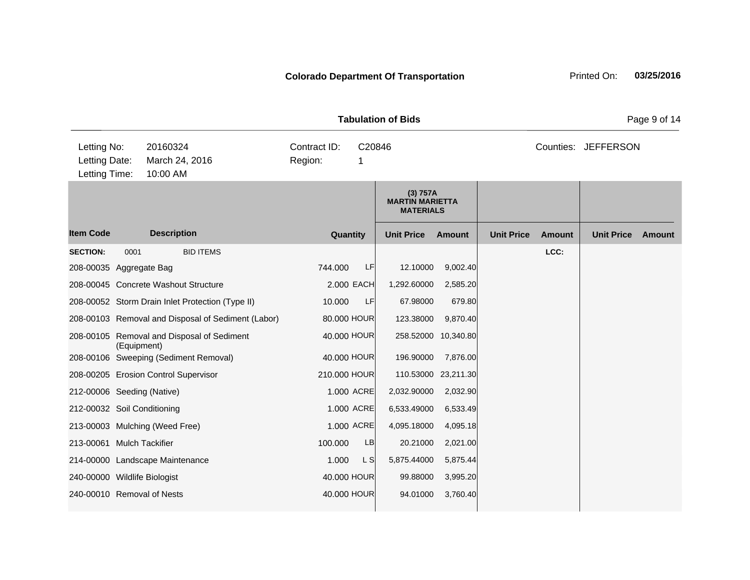|                                               |             |                                        |                                                    | <b>Tabulation of Bids</b> | Page 9 of 14 |                                                        |                     |                   |               |                     |               |
|-----------------------------------------------|-------------|----------------------------------------|----------------------------------------------------|---------------------------|--------------|--------------------------------------------------------|---------------------|-------------------|---------------|---------------------|---------------|
| Letting No:<br>Letting Date:<br>Letting Time: |             | 20160324<br>March 24, 2016<br>10:00 AM |                                                    | Contract ID:<br>Region:   | C20846<br>1  |                                                        |                     |                   |               | Counties: JEFFERSON |               |
|                                               |             |                                        |                                                    |                           |              | (3) 757A<br><b>MARTIN MARIETTA</b><br><b>MATERIALS</b> |                     |                   |               |                     |               |
| <b>Item Code</b>                              |             | <b>Description</b>                     |                                                    |                           | Quantity     | <b>Unit Price</b>                                      | <b>Amount</b>       | <b>Unit Price</b> | <b>Amount</b> | <b>Unit Price</b>   | <b>Amount</b> |
| <b>SECTION:</b>                               | 0001        |                                        | <b>BID ITEMS</b>                                   |                           |              |                                                        |                     |                   | LCC:          |                     |               |
| 208-00035 Aggregate Bag                       |             |                                        |                                                    | 744.000                   | LF           | 12.10000                                               | 9,002.40            |                   |               |                     |               |
|                                               |             | 208-00045 Concrete Washout Structure   |                                                    |                           | 2.000 EACH   | 1,292.60000                                            | 2,585.20            |                   |               |                     |               |
|                                               |             |                                        | 208-00052 Storm Drain Inlet Protection (Type II)   | 10.000                    | LF           | 67.98000                                               | 679.80              |                   |               |                     |               |
|                                               |             |                                        | 208-00103 Removal and Disposal of Sediment (Labor) |                           | 80.000 HOUR  | 123.38000                                              | 9,870.40            |                   |               |                     |               |
|                                               | (Equipment) |                                        | 208-00105 Removal and Disposal of Sediment         |                           | 40.000 HOUR  |                                                        | 258.52000 10,340.80 |                   |               |                     |               |
|                                               |             |                                        | 208-00106 Sweeping (Sediment Removal)              |                           | 40.000 HOUR  | 196.90000                                              | 7,876.00            |                   |               |                     |               |
|                                               |             | 208-00205 Erosion Control Supervisor   |                                                    | 210.000 HOUR              |              |                                                        | 110.53000 23,211.30 |                   |               |                     |               |
| 212-00006 Seeding (Native)                    |             |                                        |                                                    |                           | 1.000 ACRE   | 2,032.90000                                            | 2,032.90            |                   |               |                     |               |
| 212-00032 Soil Conditioning                   |             |                                        |                                                    |                           | 1.000 ACRE   | 6,533.49000                                            | 6,533.49            |                   |               |                     |               |
|                                               |             | 213-00003 Mulching (Weed Free)         |                                                    |                           | 1.000 ACRE   | 4,095.18000                                            | 4,095.18            |                   |               |                     |               |
| 213-00061 Mulch Tackifier                     |             |                                        |                                                    | 100.000                   | LB           | 20.21000                                               | 2,021.00            |                   |               |                     |               |
|                                               |             | 214-00000 Landscape Maintenance        |                                                    | 1.000                     | L S          | 5,875.44000                                            | 5,875.44            |                   |               |                     |               |
| 240-00000 Wildlife Biologist                  |             |                                        |                                                    |                           | 40.000 HOUR  | 99.88000                                               | 3,995.20            |                   |               |                     |               |
| 240-00010 Removal of Nests                    |             |                                        |                                                    |                           | 40.000 HOUR  | 94.01000                                               | 3,760.40            |                   |               |                     |               |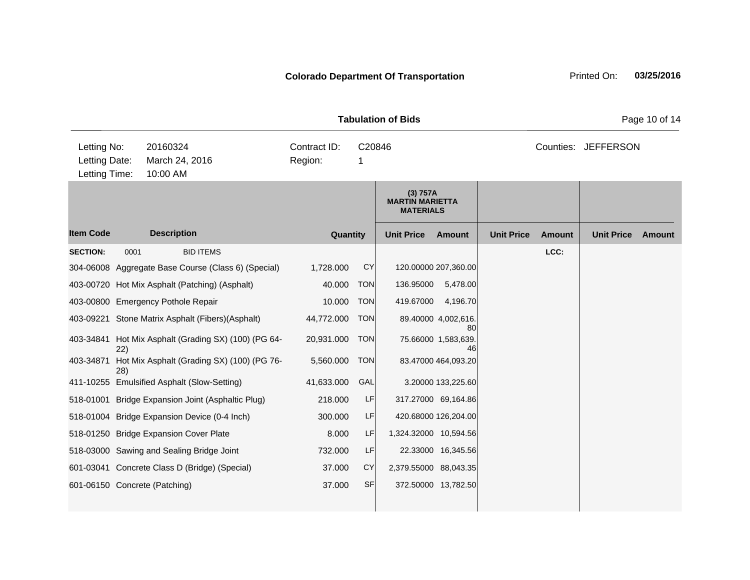|                                               |      |                      |                                                      |                                         |             | <b>Tabulation of Bids</b>                              | Page 10 of 14                   |                   |               |                     |               |
|-----------------------------------------------|------|----------------------|------------------------------------------------------|-----------------------------------------|-------------|--------------------------------------------------------|---------------------------------|-------------------|---------------|---------------------|---------------|
| Letting No:<br>Letting Date:<br>Letting Time: |      | 20160324<br>10:00 AM | March 24, 2016                                       | Contract ID:<br>Region:                 | C20846<br>1 |                                                        |                                 |                   |               | Counties: JEFFERSON |               |
|                                               |      |                      |                                                      |                                         |             | (3) 757A<br><b>MARTIN MARIETTA</b><br><b>MATERIALS</b> |                                 |                   |               |                     |               |
| <b>Item Code</b>                              |      | <b>Description</b>   |                                                      | Quantity<br><b>Unit Price</b><br>Amount |             |                                                        |                                 | <b>Unit Price</b> | <b>Amount</b> | <b>Unit Price</b>   | <b>Amount</b> |
| <b>SECTION:</b>                               | 0001 |                      | <b>BID ITEMS</b>                                     |                                         |             |                                                        |                                 |                   | LCC:          |                     |               |
|                                               |      |                      | 304-06008 Aggregate Base Course (Class 6) (Special)  | 1,728.000                               | CY          |                                                        | 120.00000 207,360.00            |                   |               |                     |               |
|                                               |      |                      | 403-00720 Hot Mix Asphalt (Patching) (Asphalt)       | 40.000                                  | <b>TON</b>  | 136.95000                                              | 5,478.00                        |                   |               |                     |               |
| 403-00800 Emergency Pothole Repair            |      |                      |                                                      | 10.000                                  | <b>TON</b>  | 419.67000                                              | 4,196.70                        |                   |               |                     |               |
|                                               |      |                      | 403-09221 Stone Matrix Asphalt (Fibers) (Asphalt)    | 44,772.000                              | <b>TON</b>  |                                                        | 89.40000 4,002,616.             |                   |               |                     |               |
|                                               | 22)  |                      | 403-34841 Hot Mix Asphalt (Grading SX) (100) (PG 64- | 20,931.000                              | <b>TON</b>  |                                                        | 80<br>75.66000 1,583,639.<br>46 |                   |               |                     |               |
| 403-34871                                     | 28)  |                      | Hot Mix Asphalt (Grading SX) (100) (PG 76-           | 5,560.000                               | <b>TON</b>  |                                                        | 83.47000 464,093.20             |                   |               |                     |               |
|                                               |      |                      | 411-10255 Emulsified Asphalt (Slow-Setting)          | 41,633.000                              | GAL         |                                                        | 3.20000 133,225.60              |                   |               |                     |               |
| 518-01001                                     |      |                      | Bridge Expansion Joint (Asphaltic Plug)              | 218.000                                 | LF          |                                                        | 317.27000 69,164.86             |                   |               |                     |               |
|                                               |      |                      | 518-01004 Bridge Expansion Device (0-4 Inch)         | 300.000                                 | LF          |                                                        | 420.68000 126,204.00            |                   |               |                     |               |
|                                               |      |                      | 518-01250 Bridge Expansion Cover Plate               | 8.000                                   | LF          | 1,324.32000 10,594.56                                  |                                 |                   |               |                     |               |
|                                               |      |                      | 518-03000 Sawing and Sealing Bridge Joint            | 732.000                                 | LF          |                                                        | 22.33000 16,345.56              |                   |               |                     |               |
|                                               |      |                      | 601-03041 Concrete Class D (Bridge) (Special)        | 37.000                                  | <b>CY</b>   | 2,379.55000 88,043.35                                  |                                 |                   |               |                     |               |
| 601-06150 Concrete (Patching)                 |      |                      |                                                      | 37.000                                  | <b>SF</b>   |                                                        | 372.50000 13,782.50             |                   |               |                     |               |
|                                               |      |                      |                                                      |                                         |             |                                                        |                                 |                   |               |                     |               |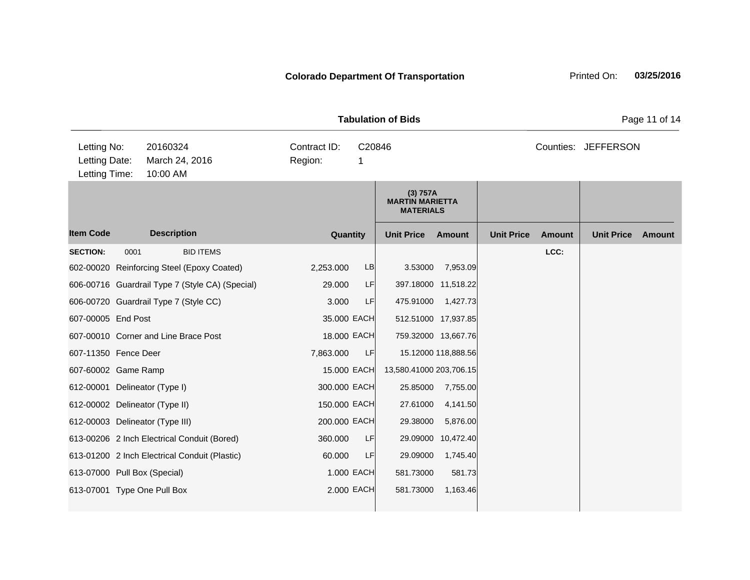|                                               |                                        |                                                 | <b>Tabulation of Bids</b> |                             | Page 11 of 14                                          |                     |                   |                     |                   |        |
|-----------------------------------------------|----------------------------------------|-------------------------------------------------|---------------------------|-----------------------------|--------------------------------------------------------|---------------------|-------------------|---------------------|-------------------|--------|
| Letting No:<br>Letting Date:<br>Letting Time: | 20160324<br>March 24, 2016<br>10:00 AM |                                                 | Contract ID:<br>Region:   | C20846<br>1                 |                                                        |                     |                   | Counties: JEFFERSON |                   |        |
|                                               |                                        |                                                 |                           |                             | (3) 757A<br><b>MARTIN MARIETTA</b><br><b>MATERIALS</b> |                     |                   |                     |                   |        |
| <b>Item Code</b>                              |                                        | <b>Description</b>                              | Quantity                  | <b>Unit Price</b><br>Amount |                                                        |                     | <b>Unit Price</b> | <b>Amount</b>       | <b>Unit Price</b> | Amount |
| <b>SECTION:</b>                               | 0001                                   | <b>BID ITEMS</b>                                |                           |                             |                                                        |                     |                   | LCC:                |                   |        |
|                                               |                                        | 602-00020 Reinforcing Steel (Epoxy Coated)      | 2,253.000                 | LB                          | 3.53000                                                | 7,953.09            |                   |                     |                   |        |
|                                               |                                        | 606-00716 Guardrail Type 7 (Style CA) (Special) | 29.000                    | LF                          |                                                        | 397.18000 11,518.22 |                   |                     |                   |        |
|                                               |                                        | 606-00720 Guardrail Type 7 (Style CC)           | 3.000                     | LF                          | 475.91000                                              | 1,427.73            |                   |                     |                   |        |
| 607-00005 End Post                            |                                        |                                                 | 35.000 EACH               |                             |                                                        | 512.51000 17,937.85 |                   |                     |                   |        |
|                                               |                                        | 607-00010 Corner and Line Brace Post            | 18.000 EACH               |                             |                                                        | 759.32000 13,667.76 |                   |                     |                   |        |
| 607-11350 Fence Deer                          |                                        |                                                 | 7,863.000                 | LF                          |                                                        | 15.12000 118,888.56 |                   |                     |                   |        |
| 607-60002 Game Ramp                           |                                        |                                                 | 15.000 EACH               |                             | 13,580.41000 203,706.15                                |                     |                   |                     |                   |        |
|                                               |                                        | 612-00001 Delineator (Type I)                   | 300.000 EACH              |                             | 25.85000                                               | 7,755.00            |                   |                     |                   |        |
|                                               |                                        | 612-00002 Delineator (Type II)                  | 150.000 EACH              |                             | 27.61000                                               | 4,141.50            |                   |                     |                   |        |
|                                               |                                        | 612-00003 Delineator (Type III)                 | 200.000 EACH              |                             | 29.38000                                               | 5,876.00            |                   |                     |                   |        |
|                                               |                                        | 613-00206 2 Inch Electrical Conduit (Bored)     | 360.000                   | LF                          | 29.09000                                               | 10,472.40           |                   |                     |                   |        |
|                                               |                                        | 613-01200 2 Inch Electrical Conduit (Plastic)   | 60.000                    | LF                          | 29.09000                                               | 1,745.40            |                   |                     |                   |        |
| 613-07000 Pull Box (Special)                  |                                        |                                                 |                           | 1.000 EACH                  | 581.73000                                              | 581.73              |                   |                     |                   |        |
|                                               |                                        | 613-07001 Type One Pull Box                     |                           | 2.000 EACH                  | 581.73000                                              | 1,163.46            |                   |                     |                   |        |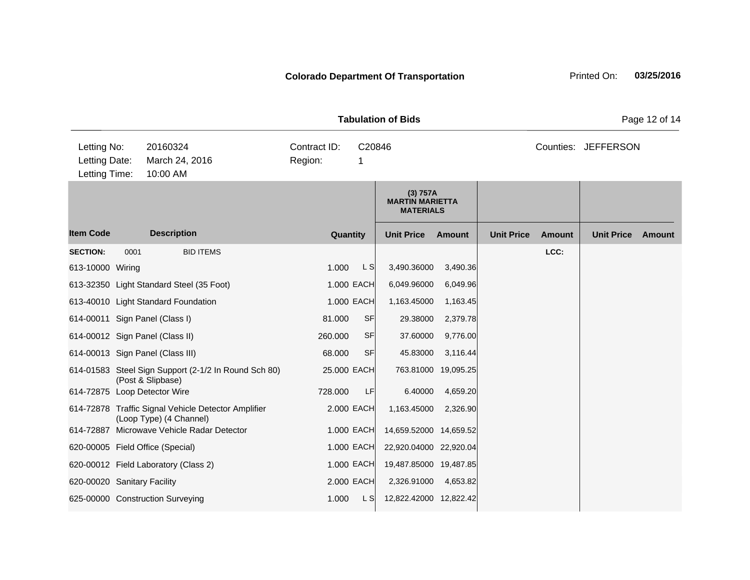|                                               |                   |                                                                                |                         |             | <b>Tabulation of Bids</b>                              |                     |                   |               |                     | Page 12 of 14 |
|-----------------------------------------------|-------------------|--------------------------------------------------------------------------------|-------------------------|-------------|--------------------------------------------------------|---------------------|-------------------|---------------|---------------------|---------------|
| Letting No:<br>Letting Date:<br>Letting Time: |                   | 20160324<br>March 24, 2016<br>10:00 AM                                         | Contract ID:<br>Region: | C20846<br>1 |                                                        |                     |                   |               | Counties: JEFFERSON |               |
|                                               |                   |                                                                                |                         |             | (3) 757A<br><b>MARTIN MARIETTA</b><br><b>MATERIALS</b> |                     |                   |               |                     |               |
| <b>Item Code</b>                              |                   | <b>Description</b>                                                             |                         | Quantity    | <b>Unit Price</b>                                      | Amount              | <b>Unit Price</b> | <b>Amount</b> | <b>Unit Price</b>   | Amount        |
| <b>SECTION:</b>                               | 0001              | <b>BID ITEMS</b>                                                               |                         |             |                                                        |                     |                   | LCC:          |                     |               |
| 613-10000 Wiring                              |                   |                                                                                | 1.000                   | L S         | 3,490.36000                                            | 3,490.36            |                   |               |                     |               |
|                                               |                   | 613-32350 Light Standard Steel (35 Foot)                                       |                         | 1.000 EACH  | 6,049.96000                                            | 6,049.96            |                   |               |                     |               |
|                                               |                   | 613-40010 Light Standard Foundation                                            |                         | 1.000 EACH  | 1,163.45000                                            | 1,163.45            |                   |               |                     |               |
| 614-00011 Sign Panel (Class I)                |                   |                                                                                | 81.000                  | <b>SF</b>   | 29.38000                                               | 2,379.78            |                   |               |                     |               |
| 614-00012 Sign Panel (Class II)               |                   |                                                                                | 260.000                 | <b>SF</b>   | 37.60000                                               | 9,776.00            |                   |               |                     |               |
| 614-00013 Sign Panel (Class III)              |                   |                                                                                | 68.000                  | <b>SF</b>   | 45.83000                                               | 3,116.44            |                   |               |                     |               |
|                                               | (Post & Slipbase) | 614-01583 Steel Sign Support (2-1/2 In Round Sch 80)                           |                         | 25.000 EACH |                                                        | 763.81000 19,095.25 |                   |               |                     |               |
| 614-72875 Loop Detector Wire                  |                   |                                                                                | 728.000                 | LF          | 6.40000                                                | 4,659.20            |                   |               |                     |               |
|                                               |                   | 614-72878 Traffic Signal Vehicle Detector Amplifier<br>(Loop Type) (4 Channel) |                         | 2.000 EACH  | 1,163.45000                                            | 2,326.90            |                   |               |                     |               |
|                                               |                   | 614-72887 Microwave Vehicle Radar Detector                                     |                         | 1.000 EACH  | 14,659.52000 14,659.52                                 |                     |                   |               |                     |               |
| 620-00005 Field Office (Special)              |                   |                                                                                |                         | 1.000 EACH  | 22,920.04000 22,920.04                                 |                     |                   |               |                     |               |
|                                               |                   | 620-00012 Field Laboratory (Class 2)                                           |                         | 1.000 EACH  | 19,487.85000 19,487.85                                 |                     |                   |               |                     |               |
| 620-00020 Sanitary Facility                   |                   |                                                                                |                         | 2.000 EACH  | 2,326.91000                                            | 4,653.82            |                   |               |                     |               |
|                                               |                   | 625-00000 Construction Surveying                                               | 1.000                   | L SI        | 12,822.42000 12,822.42                                 |                     |                   |               |                     |               |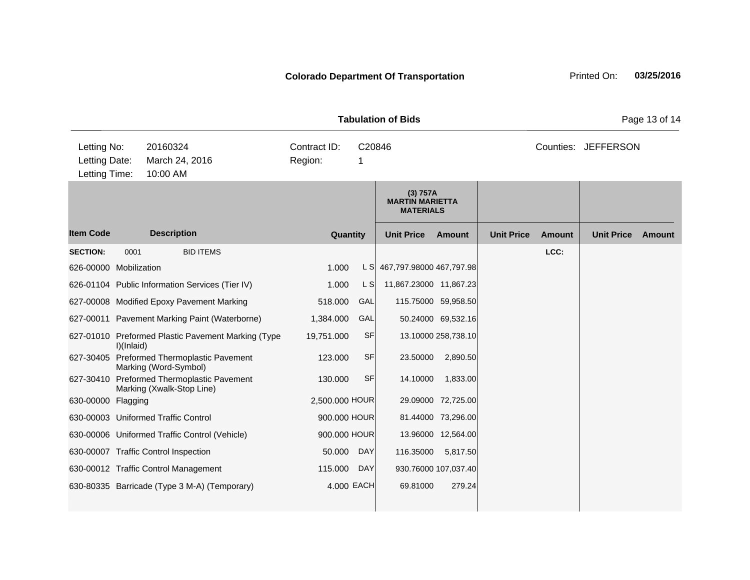|                                               |            |                                                                      | <b>Tabulation of Bids</b> |             |                                                        |                      |                   |               | Page 13 of 14       |        |
|-----------------------------------------------|------------|----------------------------------------------------------------------|---------------------------|-------------|--------------------------------------------------------|----------------------|-------------------|---------------|---------------------|--------|
| Letting No:<br>Letting Date:<br>Letting Time: |            | 20160324<br>March 24, 2016<br>10:00 AM                               | Contract ID:<br>Region:   | C20846<br>1 |                                                        |                      |                   |               | Counties: JEFFERSON |        |
|                                               |            |                                                                      |                           |             | (3) 757A<br><b>MARTIN MARIETTA</b><br><b>MATERIALS</b> |                      |                   |               |                     |        |
| <b>Item Code</b>                              |            | <b>Description</b>                                                   | Quantity                  |             | <b>Unit Price</b>                                      | Amount               | <b>Unit Price</b> | <b>Amount</b> | <b>Unit Price</b>   | Amount |
| <b>SECTION:</b>                               | 0001       | <b>BID ITEMS</b>                                                     |                           |             |                                                        |                      |                   | LCC:          |                     |        |
| 626-00000 Mobilization                        |            |                                                                      | 1.000                     | L SI        | 467,797.98000 467,797.98                               |                      |                   |               |                     |        |
|                                               |            | 626-01104 Public Information Services (Tier IV)                      | 1.000                     | L S         | 11,867.23000 11,867.23                                 |                      |                   |               |                     |        |
|                                               |            | 627-00008 Modified Epoxy Pavement Marking                            | 518.000                   | GAL         |                                                        | 115.75000 59,958.50  |                   |               |                     |        |
|                                               |            | 627-00011 Pavement Marking Paint (Waterborne)                        | 1,384.000                 | GAL         |                                                        | 50.24000 69,532.16   |                   |               |                     |        |
|                                               | I)(Inlaid) | 627-01010 Preformed Plastic Pavement Marking (Type                   | 19,751.000                | <b>SF</b>   |                                                        | 13.10000 258,738.10  |                   |               |                     |        |
| 627-30405                                     |            | Preformed Thermoplastic Pavement<br>Marking (Word-Symbol)            | 123.000                   | <b>SF</b>   | 23.50000                                               | 2,890.50             |                   |               |                     |        |
| 627-30410                                     |            | <b>Preformed Thermoplastic Pavement</b><br>Marking (Xwalk-Stop Line) | 130.000                   | <b>SF</b>   | 14.10000                                               | 1,833.00             |                   |               |                     |        |
| 630-00000 Flagging                            |            |                                                                      | 2,500.000 HOUR            |             |                                                        | 29.09000 72,725.00   |                   |               |                     |        |
|                                               |            | 630-00003 Uniformed Traffic Control                                  | 900.000 HOUR              |             |                                                        | 81.44000 73,296.00   |                   |               |                     |        |
|                                               |            | 630-00006 Uniformed Traffic Control (Vehicle)                        | 900.000 HOUR              |             | 13.96000                                               | 12,564.00            |                   |               |                     |        |
|                                               |            | 630-00007 Traffic Control Inspection                                 | 50.000                    | <b>DAY</b>  | 116.35000                                              | 5,817.50             |                   |               |                     |        |
|                                               |            | 630-00012 Traffic Control Management                                 | 115.000                   | DAY         |                                                        | 930.76000 107,037.40 |                   |               |                     |        |
|                                               |            | 630-80335 Barricade (Type 3 M-A) (Temporary)                         | 4.000 EACH                |             | 69.81000                                               | 279.24               |                   |               |                     |        |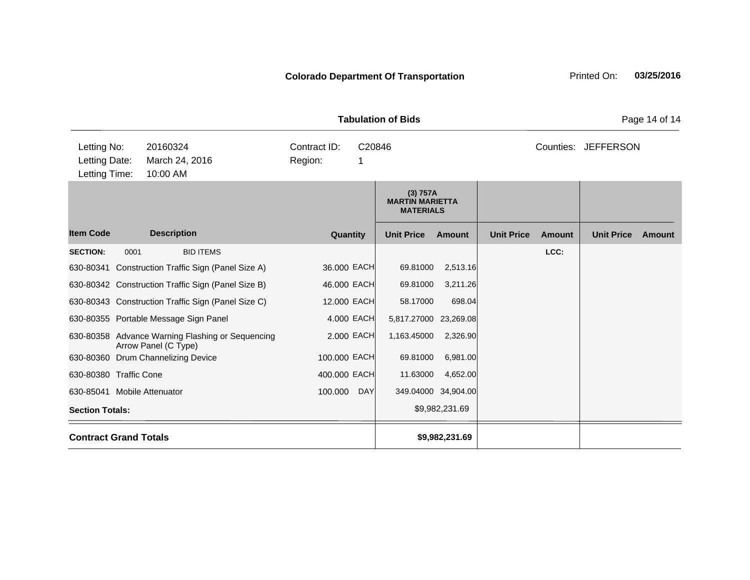| <b>Tabulation of Bids</b>                     |                    |                                                                          |                         |             |                                                        |                     |                   |               |                     |        |  |
|-----------------------------------------------|--------------------|--------------------------------------------------------------------------|-------------------------|-------------|--------------------------------------------------------|---------------------|-------------------|---------------|---------------------|--------|--|
| Letting No:<br>Letting Date:<br>Letting Time: |                    | 20160324<br>March 24, 2016<br>10:00 AM                                   | Contract ID:<br>Region: | C20846<br>1 |                                                        |                     |                   |               | Counties: JEFFERSON |        |  |
|                                               |                    |                                                                          |                         |             | (3) 757A<br><b>MARTIN MARIETTA</b><br><b>MATERIALS</b> |                     |                   |               |                     |        |  |
| <b>Item Code</b>                              | <b>Description</b> |                                                                          | Quantity                |             | <b>Unit Price</b><br><b>Amount</b>                     |                     | <b>Unit Price</b> | <b>Amount</b> | <b>Unit Price</b>   | Amount |  |
| <b>SECTION:</b>                               | 0001               | <b>BID ITEMS</b>                                                         |                         |             |                                                        |                     |                   | LCC:          |                     |        |  |
|                                               |                    | 630-80341 Construction Traffic Sign (Panel Size A)                       | 36.000 EACH             |             | 69.81000                                               | 2,513.16            |                   |               |                     |        |  |
|                                               |                    | 630-80342 Construction Traffic Sign (Panel Size B)                       | 46.000 EACH             |             | 69.81000                                               | 3,211.26            |                   |               |                     |        |  |
|                                               |                    | 630-80343 Construction Traffic Sign (Panel Size C)                       | 12.000 EACH             |             | 58.17000                                               | 698.04              |                   |               |                     |        |  |
|                                               |                    | 630-80355 Portable Message Sign Panel                                    |                         | 4.000 EACH  | 5,817.27000 23,269.08                                  |                     |                   |               |                     |        |  |
|                                               |                    | 630-80358 Advance Warning Flashing or Sequencing<br>Arrow Panel (C Type) |                         | 2.000 EACH  | 1,163.45000                                            | 2,326.90            |                   |               |                     |        |  |
|                                               |                    | 630-80360 Drum Channelizing Device                                       | 100.000 EACH            |             | 69.81000                                               | 6,981.00            |                   |               |                     |        |  |
| 630-80380 Traffic Cone                        |                    |                                                                          | 400.000 EACH            |             | 11.63000                                               | 4,652.00            |                   |               |                     |        |  |
| 630-85041 Mobile Attenuator                   |                    |                                                                          | 100.000                 | <b>DAY</b>  |                                                        | 349.04000 34,904.00 |                   |               |                     |        |  |
| <b>Section Totals:</b>                        |                    |                                                                          |                         |             |                                                        | \$9,982,231.69      |                   |               |                     |        |  |

**Contract Grand Totals \$9,982,231.69**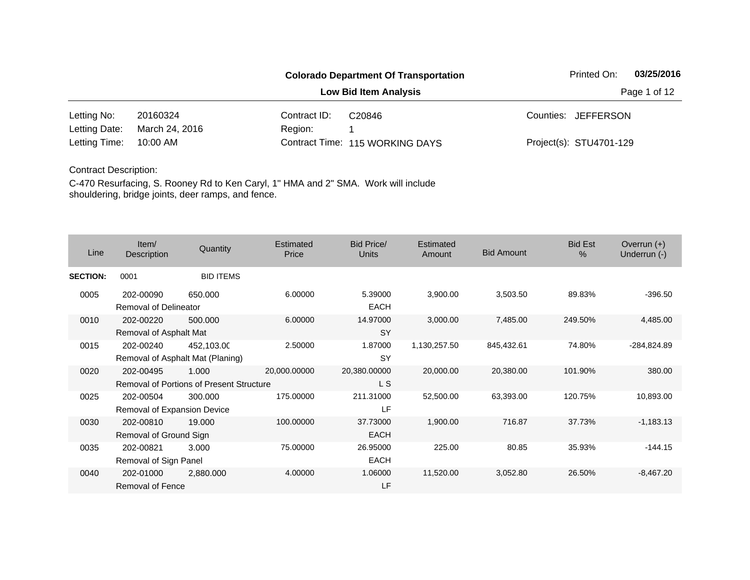#### **Colorado Department Of Transportation** Printed On: 03/25/2016 **Low Bid Item Analysis Page 1 of 12** 20160324 Contract ID: 10:00 AM Region: 1 Letting No: 20160324 Contract ID: C20846 Contract ID: C10846 Counties: JEFFERSON 115 WORKING DAYS Letting Time: Contract Time:March 24, 2016 Project(s): STU4701-129 Letting Date: C20846

### Contract Description:

| Line            | Item/<br>Description                      | Quantity                                                 | Estimated<br>Price | <b>Bid Price/</b><br><b>Units</b> | <b>Estimated</b><br>Amount | <b>Bid Amount</b> | <b>Bid Est</b><br>$\frac{0}{0}$ | Overrun $(+)$<br>Underrun (-) |
|-----------------|-------------------------------------------|----------------------------------------------------------|--------------------|-----------------------------------|----------------------------|-------------------|---------------------------------|-------------------------------|
| <b>SECTION:</b> | 0001                                      | <b>BID ITEMS</b>                                         |                    |                                   |                            |                   |                                 |                               |
| 0005            | 202-00090<br><b>Removal of Delineator</b> | 650.000                                                  | 6.00000            | 5.39000<br><b>EACH</b>            | 3,900.00                   | 3,503.50          | 89.83%                          | $-396.50$                     |
| 0010            | 202-00220<br>Removal of Asphalt Mat       | 500,000                                                  | 6.00000            | 14.97000<br><b>SY</b>             | 3,000.00                   | 7,485.00          | 249.50%                         | 4,485.00                      |
| 0015            | 202-00240                                 | 452,103.00<br>Removal of Asphalt Mat (Planing)           | 2.50000            | 1.87000<br><b>SY</b>              | 1,130,257.50               | 845,432.61        | 74.80%                          | -284,824.89                   |
| 0020            | 202-00495                                 | 1.000<br><b>Removal of Portions of Present Structure</b> | 20,000.00000       | 20,380.00000<br>L S               | 20,000.00                  | 20,380.00         | 101.90%                         | 380.00                        |
| 0025            | 202-00504<br>Removal of Expansion Device  | 300.000                                                  | 175.00000          | 211.31000<br>LF                   | 52,500.00                  | 63,393.00         | 120.75%                         | 10,893.00                     |
| 0030            | 202-00810<br>Removal of Ground Sign       | 19.000                                                   | 100.00000          | 37.73000<br><b>EACH</b>           | 1,900.00                   | 716.87            | 37.73%                          | $-1,183.13$                   |
| 0035            | 202-00821<br>Removal of Sign Panel        | 3.000                                                    | 75.00000           | 26.95000<br><b>EACH</b>           | 225.00                     | 80.85             | 35.93%                          | $-144.15$                     |
| 0040            | 202-01000<br><b>Removal of Fence</b>      | 2,880.000                                                | 4.00000            | 1.06000<br>LF                     | 11,520.00                  | 3,052.80          | 26.50%                          | $-8,467.20$                   |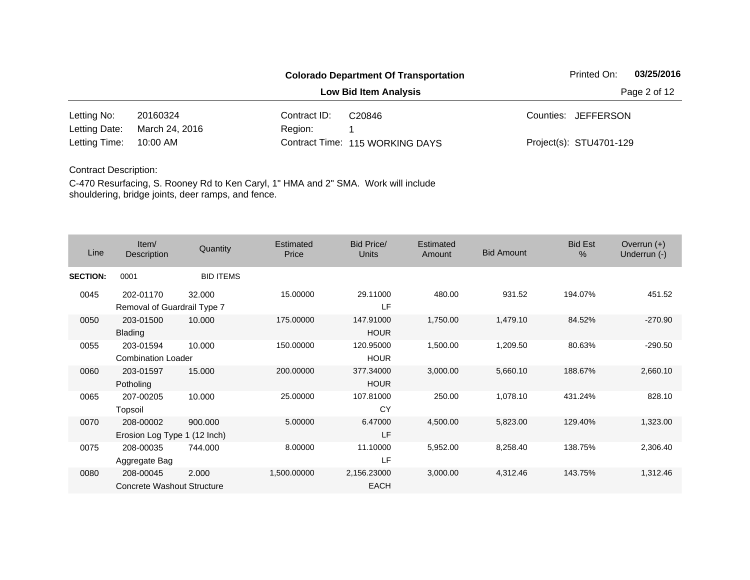|               |                |              | <b>Colorado Department Of Transportation</b> | Printed On:             | 03/25/2016   |
|---------------|----------------|--------------|----------------------------------------------|-------------------------|--------------|
|               |                |              | <b>Low Bid Item Analysis</b>                 |                         | Page 2 of 12 |
| Letting No:   | 20160324       | Contract ID: | C <sub>20846</sub>                           | Counties: JEFFERSON     |              |
| Letting Date: | March 24, 2016 | Region:      |                                              |                         |              |
| Letting Time: | 10:00 AM       |              | Contract Time: 115 WORKING DAYS              | Project(s): STU4701-129 |              |

| Line            | Item/<br>Description                      | Quantity         | Estimated<br>Price | <b>Bid Price/</b><br><b>Units</b> | Estimated<br>Amount | <b>Bid Amount</b> | <b>Bid Est</b><br>$\frac{0}{0}$ | Overrun $(+)$<br>Underrun (-) |
|-----------------|-------------------------------------------|------------------|--------------------|-----------------------------------|---------------------|-------------------|---------------------------------|-------------------------------|
| <b>SECTION:</b> | 0001                                      | <b>BID ITEMS</b> |                    |                                   |                     |                   |                                 |                               |
| 0045            | 202-01170<br>Removal of Guardrail Type 7  | 32.000           | 15.00000           | 29.11000<br>LF                    | 480.00              | 931.52            | 194.07%                         | 451.52                        |
| 0050            | 203-01500<br><b>Blading</b>               | 10.000           | 175.00000          | 147.91000<br><b>HOUR</b>          | 1,750.00            | 1,479.10          | 84.52%                          | $-270.90$                     |
| 0055            | 203-01594<br><b>Combination Loader</b>    | 10.000           | 150.00000          | 120.95000<br><b>HOUR</b>          | 1,500.00            | 1,209.50          | 80.63%                          | $-290.50$                     |
| 0060            | 203-01597<br>Potholing                    | 15.000           | 200.00000          | 377.34000<br><b>HOUR</b>          | 3,000.00            | 5,660.10          | 188.67%                         | 2,660.10                      |
| 0065            | 207-00205<br>Topsoil                      | 10.000           | 25.00000           | 107.81000<br>CY                   | 250.00              | 1,078.10          | 431.24%                         | 828.10                        |
| 0070            | 208-00002<br>Erosion Log Type 1 (12 Inch) | 900.000          | 5.00000            | 6.47000<br>LF                     | 4,500.00            | 5,823.00          | 129.40%                         | 1,323.00                      |
| 0075            | 208-00035<br>Aggregate Bag                | 744.000          | 8.00000            | 11.10000<br>LF                    | 5,952.00            | 8,258.40          | 138.75%                         | 2,306.40                      |
| 0080            | 208-00045<br>Concrete Washout Structure   | 2.000            | 1,500.00000        | 2,156.23000<br><b>EACH</b>        | 3,000.00            | 4,312.46          | 143.75%                         | 1,312.46                      |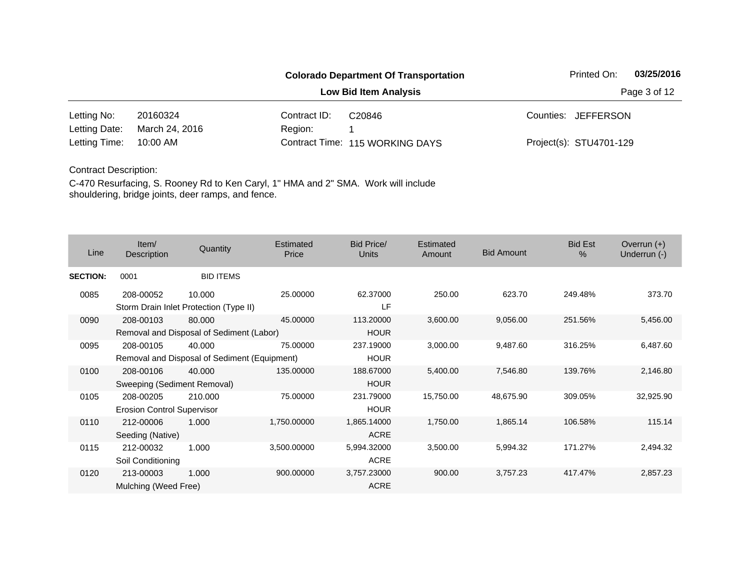#### **Colorado Department Of Transportation** Printed On: 03/25/2016 **Low Bid Item Analysis Page 3 of 12** 20160324 Contract ID: 10:00 AM Region: 1 Letting No: 20160324 Contract ID: C20846 Contract ID: C10846 Counties: JEFFERSON 115 WORKING DAYS Letting Time: Contract Time:March 24, 2016 Project(s): STU4701-129 Letting Date: C20846

#### Contract Description:

| Line            | Item/<br>Description                           | Quantity                                               | Estimated<br>Price | <b>Bid Price/</b><br>Units | Estimated<br>Amount | <b>Bid Amount</b> | <b>Bid Est</b><br>% | Overrun $(+)$<br>Underrun (-) |
|-----------------|------------------------------------------------|--------------------------------------------------------|--------------------|----------------------------|---------------------|-------------------|---------------------|-------------------------------|
| <b>SECTION:</b> | 0001                                           | <b>BID ITEMS</b>                                       |                    |                            |                     |                   |                     |                               |
| 0085            | 208-00052                                      | 10.000<br>Storm Drain Inlet Protection (Type II)       | 25.00000           | 62.37000<br>LF             | 250.00              | 623.70            | 249.48%             | 373.70                        |
| 0090            | 208-00103                                      | 80.000<br>Removal and Disposal of Sediment (Labor)     | 45.00000           | 113.20000<br><b>HOUR</b>   | 3,600.00            | 9,056.00          | 251.56%             | 5,456.00                      |
| 0095            | 208-00105                                      | 40.000<br>Removal and Disposal of Sediment (Equipment) | 75.00000           | 237.19000<br><b>HOUR</b>   | 3,000.00            | 9,487.60          | 316.25%             | 6,487.60                      |
| 0100            | 208-00106<br>Sweeping (Sediment Removal)       | 40,000                                                 | 135.00000          | 188.67000<br><b>HOUR</b>   | 5,400.00            | 7,546.80          | 139.76%             | 2,146.80                      |
| 0105            | 208-00205<br><b>Erosion Control Supervisor</b> | 210.000                                                | 75.00000           | 231.79000<br><b>HOUR</b>   | 15,750.00           | 48,675.90         | 309.05%             | 32,925.90                     |
| 0110            | 212-00006<br>Seeding (Native)                  | 1.000                                                  | 1,750.00000        | 1,865.14000<br><b>ACRE</b> | 1,750.00            | 1,865.14          | 106.58%             | 115.14                        |
| 0115            | 212-00032<br>Soil Conditioning                 | 1.000                                                  | 3,500.00000        | 5,994.32000<br><b>ACRE</b> | 3,500.00            | 5,994.32          | 171.27%             | 2,494.32                      |
| 0120            | 213-00003<br>Mulching (Weed Free)              | 1.000                                                  | 900.00000          | 3,757.23000<br>ACRE        | 900.00              | 3,757.23          | 417.47%             | 2,857.23                      |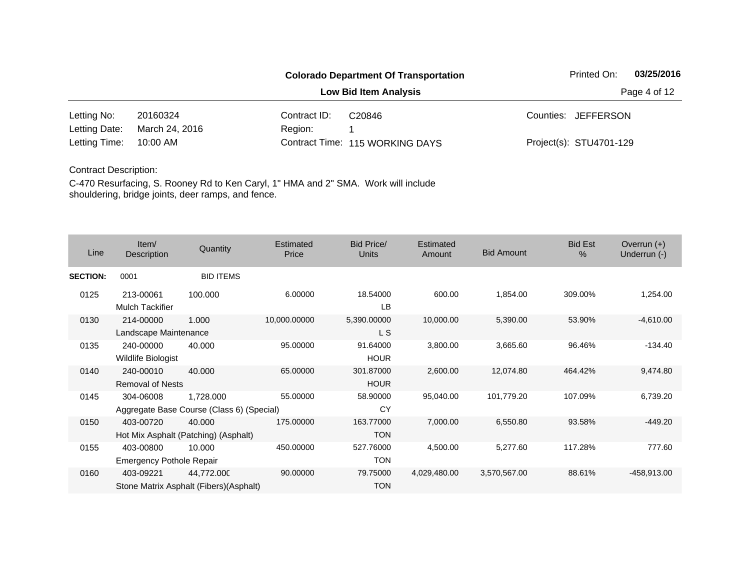|               |                |              | <b>Colorado Department Of Transportation</b> |  | Printed On:             | 03/25/2016 |
|---------------|----------------|--------------|----------------------------------------------|--|-------------------------|------------|
|               |                |              | <b>Low Bid Item Analysis</b>                 |  | Page 4 of 12            |            |
| Letting No:   | 20160324       | Contract ID: | C <sub>20846</sub>                           |  | Counties: JEFFERSON     |            |
| Letting Date: | March 24, 2016 | Region:      |                                              |  |                         |            |
| Letting Time: | 10:00 AM       |              | Contract Time: 115 WORKING DAYS              |  | Project(s): STU4701-129 |            |

| Line            | Item/<br>Description                         | Quantity                                               | <b>Estimated</b><br>Price | Bid Price/<br>Units      | Estimated<br>Amount | <b>Bid Amount</b> | <b>Bid Est</b><br>$\frac{0}{0}$ | Overrun $(+)$<br>Underrun (-) |
|-----------------|----------------------------------------------|--------------------------------------------------------|---------------------------|--------------------------|---------------------|-------------------|---------------------------------|-------------------------------|
| <b>SECTION:</b> | 0001                                         | <b>BID ITEMS</b>                                       |                           |                          |                     |                   |                                 |                               |
| 0125            | 213-00061<br><b>Mulch Tackifier</b>          | 100.000                                                | 6.00000                   | 18.54000<br>LB           | 600.00              | 1,854.00          | 309.00%                         | 1,254.00                      |
| 0130            | 214-00000<br>Landscape Maintenance           | 1.000                                                  | 10,000.00000              | 5,390.00000<br>L S       | 10,000.00           | 5,390.00          | 53.90%                          | $-4,610.00$                   |
| 0135            | 240-00000<br>Wildlife Biologist              | 40.000                                                 | 95.00000                  | 91.64000<br><b>HOUR</b>  | 3,800.00            | 3,665.60          | 96.46%                          | $-134.40$                     |
| 0140            | 240-00010<br><b>Removal of Nests</b>         | 40.000                                                 | 65.00000                  | 301.87000<br><b>HOUR</b> | 2,600.00            | 12,074.80         | 464.42%                         | 9,474.80                      |
| 0145            | 304-06008                                    | 1,728.000<br>Aggregate Base Course (Class 6) (Special) | 55.00000                  | 58.90000<br>CY           | 95,040.00           | 101,779.20        | 107.09%                         | 6,739.20                      |
| 0150            | 403-00720                                    | 40.000<br>Hot Mix Asphalt (Patching) (Asphalt)         | 175.00000                 | 163.77000<br><b>TON</b>  | 7,000.00            | 6,550.80          | 93.58%                          | $-449.20$                     |
| 0155            | 403-00800<br><b>Emergency Pothole Repair</b> | 10.000                                                 | 450.00000                 | 527.76000<br><b>TON</b>  | 4,500.00            | 5,277.60          | 117.28%                         | 777.60                        |
| 0160            | 403-09221                                    | 44,772.000<br>Stone Matrix Asphalt (Fibers) (Asphalt)  | 90.00000                  | 79.75000<br><b>TON</b>   | 4,029,480.00        | 3,570,567.00      | 88.61%                          | -458,913.00                   |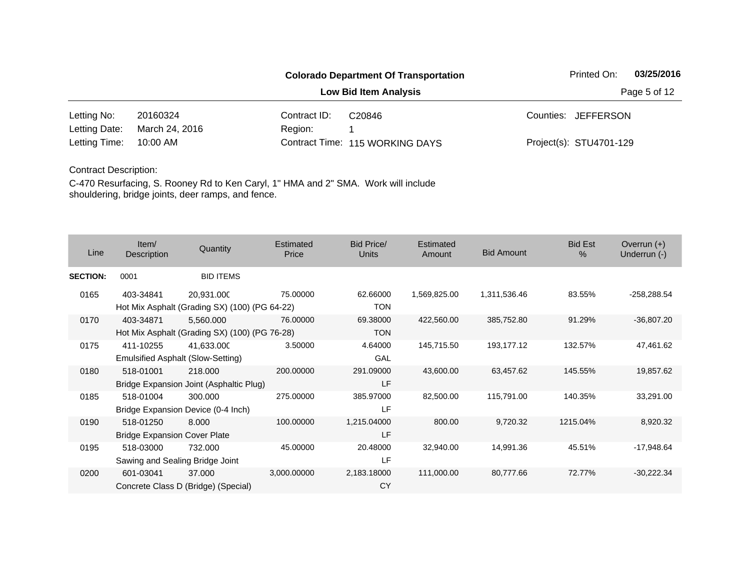|               |                |              | <b>Colorado Department Of Transportation</b> | Printed On:             | 03/25/2016   |
|---------------|----------------|--------------|----------------------------------------------|-------------------------|--------------|
|               |                |              | <b>Low Bid Item Analysis</b>                 |                         | Page 5 of 12 |
| Letting No:   | 20160324       | Contract ID: | C <sub>20846</sub>                           | Counties: JEFFERSON     |              |
| Letting Date: | March 24, 2016 | Region:      |                                              |                         |              |
| Letting Time: | 10:00 AM       |              | Contract Time: 115 WORKING DAYS              | Project(s): STU4701-129 |              |

| Line            | Item/<br>Description                             | Quantity                                                    | Estimated<br>Price | Bid Price/<br><b>Units</b> | Estimated<br>Amount | <b>Bid Amount</b> | <b>Bid Est</b><br>% | Overrun $(+)$<br>Underrun (-) |
|-----------------|--------------------------------------------------|-------------------------------------------------------------|--------------------|----------------------------|---------------------|-------------------|---------------------|-------------------------------|
| <b>SECTION:</b> | 0001                                             | <b>BID ITEMS</b>                                            |                    |                            |                     |                   |                     |                               |
| 0165            | 403-34841                                        | 20,931.000<br>Hot Mix Asphalt (Grading SX) (100) (PG 64-22) | 75.00000           | 62.66000<br><b>TON</b>     | 1,569,825.00        | 1,311,536.46      | 83.55%              | $-258,288.54$                 |
| 0170            | 403-34871                                        | 5,560.000<br>Hot Mix Asphalt (Grading SX) (100) (PG 76-28)  | 76.00000           | 69.38000<br><b>TON</b>     | 422,560.00          | 385,752.80        | 91.29%              | $-36,807.20$                  |
| 0175            | 411-10255                                        | 41,633.000<br>Emulsified Asphalt (Slow-Setting)             | 3.50000            | 4.64000<br>GAL             | 145,715.50          | 193,177.12        | 132.57%             | 47,461.62                     |
| 0180            | 518-01001                                        | 218,000<br>Bridge Expansion Joint (Asphaltic Plug)          | 200.00000          | 291.09000<br>LF            | 43,600.00           | 63,457.62         | 145.55%             | 19,857.62                     |
| 0185            | 518-01004                                        | 300.000<br>Bridge Expansion Device (0-4 Inch)               | 275.00000          | 385.97000<br>LF            | 82,500.00           | 115,791.00        | 140.35%             | 33,291.00                     |
| 0190            | 518-01250<br><b>Bridge Expansion Cover Plate</b> | 8.000                                                       | 100.00000          | 1,215.04000<br>LF          | 800.00              | 9,720.32          | 1215.04%            | 8,920.32                      |
| 0195            | 518-03000<br>Sawing and Sealing Bridge Joint     | 732.000                                                     | 45.00000           | 20.48000<br>LF             | 32,940.00           | 14,991.36         | 45.51%              | $-17,948.64$                  |
| 0200            | 601-03041                                        | 37.000<br>Concrete Class D (Bridge) (Special)               | 3,000.00000        | 2,183.18000<br><b>CY</b>   | 111,000.00          | 80,777.66         | 72.77%              | $-30,222.34$                  |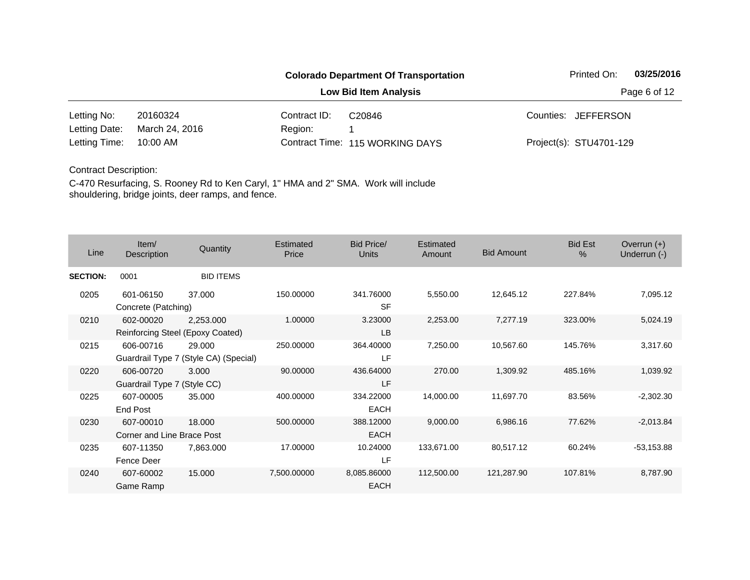|               |                |              | <b>Colorado Department Of Transportation</b> | Printed On:             | 03/25/2016   |
|---------------|----------------|--------------|----------------------------------------------|-------------------------|--------------|
|               |                |              | Low Bid Item Analysis                        |                         | Page 6 of 12 |
| Letting No:   | 20160324       | Contract ID: | C <sub>20846</sub>                           | Counties: JEFFERSON     |              |
| Letting Date: | March 24, 2016 | Region:      |                                              |                         |              |
| Letting Time: | 10:00 AM       |              | Contract Time: 115 WORKING DAYS              | Project(s): STU4701-129 |              |

| Line            | Item $/$<br>Description                  | Quantity                                        | <b>Estimated</b><br>Price | <b>Bid Price/</b><br><b>Units</b> | Estimated<br>Amount | <b>Bid Amount</b> | <b>Bid Est</b><br>$\frac{0}{0}$ | Overrun $(+)$<br>Underrun (-) |
|-----------------|------------------------------------------|-------------------------------------------------|---------------------------|-----------------------------------|---------------------|-------------------|---------------------------------|-------------------------------|
| <b>SECTION:</b> | 0001                                     | <b>BID ITEMS</b>                                |                           |                                   |                     |                   |                                 |                               |
| 0205            | 601-06150<br>Concrete (Patching)         | 37,000                                          | 150.00000                 | 341.76000<br><b>SF</b>            | 5,550.00            | 12,645.12         | 227.84%                         | 7,095.12                      |
| 0210            | 602-00020                                | 2,253.000<br>Reinforcing Steel (Epoxy Coated)   | 1.00000                   | 3.23000<br>LB                     | 2,253.00            | 7,277.19          | 323.00%                         | 5,024.19                      |
| 0215            | 606-00716                                | 29,000<br>Guardrail Type 7 (Style CA) (Special) | 250.00000                 | 364.40000<br>LF                   | 7,250.00            | 10,567.60         | 145.76%                         | 3,317.60                      |
| 0220            | 606-00720<br>Guardrail Type 7 (Style CC) | 3.000                                           | 90.00000                  | 436.64000<br>LF                   | 270.00              | 1,309.92          | 485.16%                         | 1,039.92                      |
| 0225            | 607-00005<br><b>End Post</b>             | 35.000                                          | 400.00000                 | 334.22000<br>EACH                 | 14,000.00           | 11,697.70         | 83.56%                          | $-2,302.30$                   |
| 0230            | 607-00010<br>Corner and Line Brace Post  | 18,000                                          | 500.00000                 | 388.12000<br><b>EACH</b>          | 9,000.00            | 6,986.16          | 77.62%                          | $-2,013.84$                   |
| 0235            | 607-11350<br>Fence Deer                  | 7,863.000                                       | 17.00000                  | 10.24000<br>LF                    | 133,671.00          | 80,517.12         | 60.24%                          | $-53,153.88$                  |
| 0240            | 607-60002<br>Game Ramp                   | 15.000                                          | 7,500.00000               | 8,085.86000<br><b>EACH</b>        | 112,500.00          | 121,287.90        | 107.81%                         | 8,787.90                      |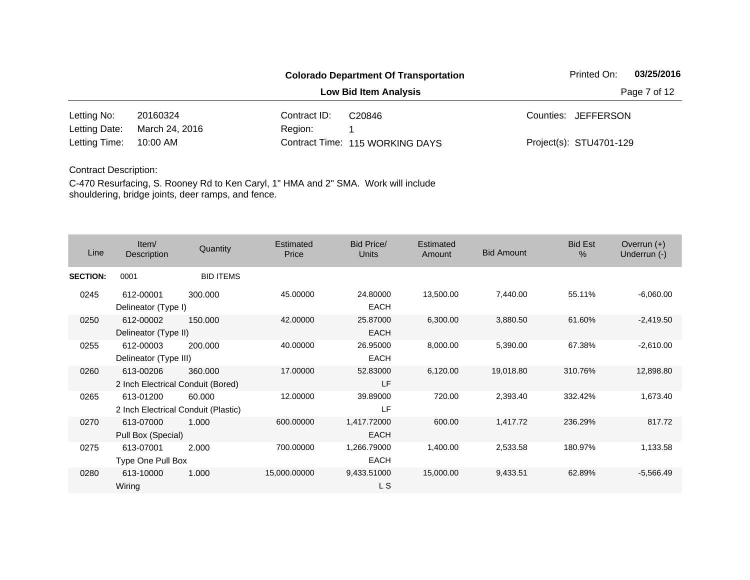#### **Colorado Department Of Transportation** Printed On: 03/25/2016 **Low Bid Item Analysis Page 7 of 12** 20160324 Contract ID: 10:00 AM Region: 1 Letting No: 20160324 Contract ID: C20846 Contract ID: C10846 Counties: JEFFERSON 115 WORKING DAYS Letting Time: Contract Time:March 24, 2016 Project(s): STU4701-129 Letting Date: C20846

### Contract Description:

| Line            | Item/<br>Description                             | Quantity         | Estimated<br>Price | <b>Bid Price/</b><br><b>Units</b> | Estimated<br>Amount | <b>Bid Amount</b> | <b>Bid Est</b><br>$\frac{0}{0}$ | Overrun $(+)$<br>Underrun (-) |
|-----------------|--------------------------------------------------|------------------|--------------------|-----------------------------------|---------------------|-------------------|---------------------------------|-------------------------------|
| <b>SECTION:</b> | 0001                                             | <b>BID ITEMS</b> |                    |                                   |                     |                   |                                 |                               |
| 0245            | 612-00001<br>Delineator (Type I)                 | 300,000          | 45.00000           | 24.80000<br><b>EACH</b>           | 13,500.00           | 7,440.00          | 55.11%                          | $-6,060.00$                   |
| 0250            | 612-00002<br>Delineator (Type II)                | 150.000          | 42.00000           | 25.87000<br><b>EACH</b>           | 6,300.00            | 3,880.50          | 61.60%                          | $-2,419.50$                   |
| 0255            | 612-00003<br>Delineator (Type III)               | 200,000          | 40.00000           | 26.95000<br><b>EACH</b>           | 8,000.00            | 5,390.00          | 67.38%                          | $-2,610.00$                   |
| 0260            | 613-00206<br>2 Inch Electrical Conduit (Bored)   | 360.000          | 17.00000           | 52.83000<br>LF                    | 6,120.00            | 19,018.80         | 310.76%                         | 12,898.80                     |
| 0265            | 613-01200<br>2 Inch Electrical Conduit (Plastic) | 60.000           | 12.00000           | 39.89000<br>LF                    | 720.00              | 2,393.40          | 332.42%                         | 1,673.40                      |
| 0270            | 613-07000<br>Pull Box (Special)                  | 1.000            | 600.00000          | 1,417.72000<br><b>EACH</b>        | 600.00              | 1,417.72          | 236.29%                         | 817.72                        |
| 0275            | 613-07001<br>Type One Pull Box                   | 2.000            | 700.00000          | 1,266.79000<br><b>EACH</b>        | 1,400.00            | 2,533.58          | 180.97%                         | 1,133.58                      |
| 0280            | 613-10000<br>Wiring                              | 1.000            | 15,000.00000       | 9,433.51000<br>L S                | 15,000.00           | 9,433.51          | 62.89%                          | $-5,566.49$                   |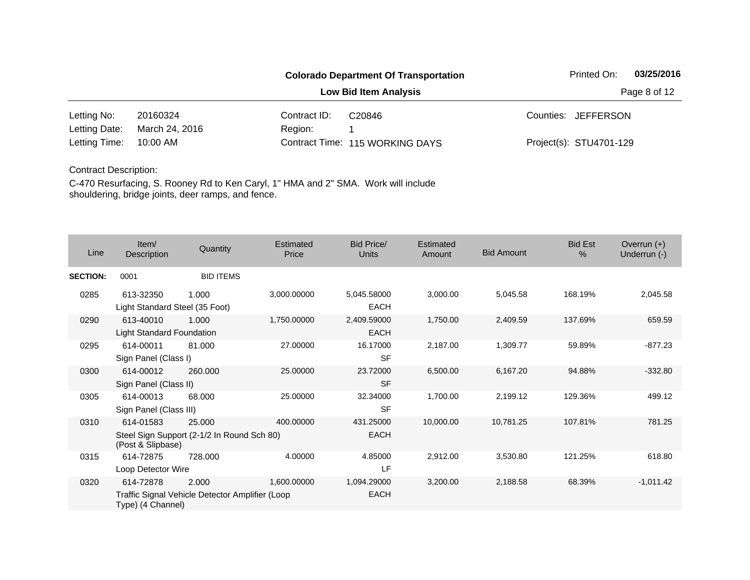|               |                |              | <b>Colorado Department Of Transportation</b> | Printed On:             | 03/25/2016 |
|---------------|----------------|--------------|----------------------------------------------|-------------------------|------------|
|               |                | Page 8 of 12 |                                              |                         |            |
| Letting No:   | 20160324       | Contract ID: | C <sub>20846</sub>                           | Counties: JEFFERSON     |            |
| Letting Date: | March 24, 2016 | Region:      |                                              |                         |            |
| Letting Time: | 10:00 AM       |              | Contract Time: 115 WORKING DAYS              | Project(s): STU4701-129 |            |

| Line            | Item/<br>Description                          | Quantity                                                 | Estimated<br>Price | Bid Price/<br>Units        | Estimated<br>Amount | <b>Bid Amount</b> | <b>Bid Est</b><br>% | Overrun $(+)$<br>Underrun (-) |
|-----------------|-----------------------------------------------|----------------------------------------------------------|--------------------|----------------------------|---------------------|-------------------|---------------------|-------------------------------|
| <b>SECTION:</b> | 0001                                          | <b>BID ITEMS</b>                                         |                    |                            |                     |                   |                     |                               |
| 0285            | 613-32350<br>Light Standard Steel (35 Foot)   | 1.000                                                    | 3,000.00000        | 5,045.58000<br>EACH        | 3,000.00            | 5,045.58          | 168.19%             | 2,045.58                      |
| 0290            | 613-40010<br><b>Light Standard Foundation</b> | 1.000                                                    | 1,750.00000        | 2,409.59000<br><b>EACH</b> | 1,750.00            | 2,409.59          | 137.69%             | 659.59                        |
| 0295            | 614-00011<br>Sign Panel (Class I)             | 81.000                                                   | 27.00000           | 16.17000<br><b>SF</b>      | 2,187.00            | 1,309.77          | 59.89%              | $-877.23$                     |
| 0300            | 614-00012<br>Sign Panel (Class II)            | 260,000                                                  | 25.00000           | 23.72000<br><b>SF</b>      | 6,500.00            | 6,167.20          | 94.88%              | $-332.80$                     |
| 0305            | 614-00013<br>Sign Panel (Class III)           | 68,000                                                   | 25.00000           | 32.34000<br><b>SF</b>      | 1,700.00            | 2,199.12          | 129.36%             | 499.12                        |
| 0310            | 614-01583<br>(Post & Slipbase)                | 25,000<br>Steel Sign Support (2-1/2 In Round Sch 80)     | 400.00000          | 431.25000<br><b>EACH</b>   | 10,000.00           | 10,781.25         | 107.81%             | 781.25                        |
| 0315            | 614-72875<br>Loop Detector Wire               | 728.000                                                  | 4.00000            | 4.85000<br>LF              | 2,912.00            | 3,530.80          | 121.25%             | 618.80                        |
| 0320            | 614-72878<br>Type) (4 Channel)                | 2.000<br>Traffic Signal Vehicle Detector Amplifier (Loop | 1,600.00000        | 1,094.29000<br><b>EACH</b> | 3,200.00            | 2,188.58          | 68.39%              | $-1,011.42$                   |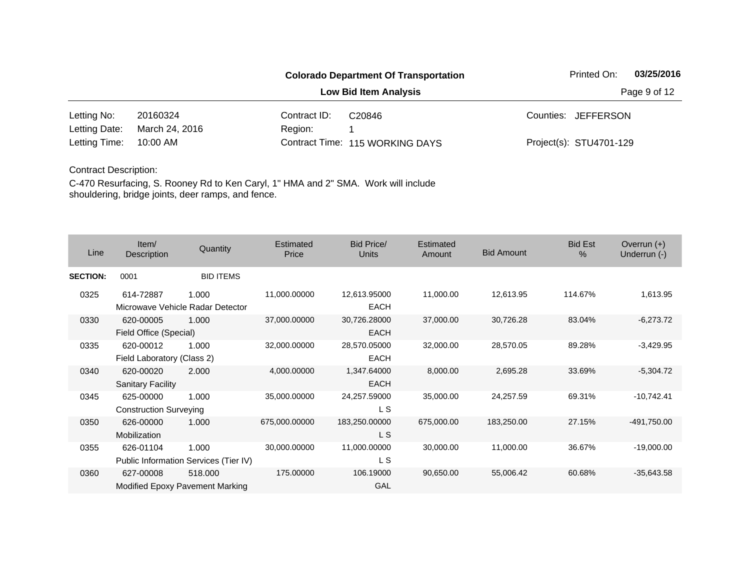|               |                |              | <b>Colorado Department Of Transportation</b> | Printed On:             | 03/25/2016 |
|---------------|----------------|--------------|----------------------------------------------|-------------------------|------------|
|               |                | Page 9 of 12 |                                              |                         |            |
| Letting No:   | 20160324       | Contract ID: | C <sub>20846</sub>                           | Counties: JEFFERSON     |            |
| Letting Date: | March 24, 2016 | Region:      |                                              |                         |            |
| Letting Time: | 10:00 AM       |              | Contract Time: 115 WORKING DAYS              | Project(s): STU4701-129 |            |

| Line            | Item/<br>Description                       | Quantity                                       | Estimated<br>Price | Bid Price/<br>Units         | <b>Estimated</b><br>Amount | <b>Bid Amount</b> | <b>Bid Est</b><br>$\frac{0}{0}$ | Overrun $(+)$<br>Underrun (-) |
|-----------------|--------------------------------------------|------------------------------------------------|--------------------|-----------------------------|----------------------------|-------------------|---------------------------------|-------------------------------|
| <b>SECTION:</b> | 0001                                       | <b>BID ITEMS</b>                               |                    |                             |                            |                   |                                 |                               |
| 0325            | 614-72887                                  | 1.000<br>Microwave Vehicle Radar Detector      | 11,000.00000       | 12,613.95000<br><b>EACH</b> | 11,000.00                  | 12,613.95         | 114.67%                         | 1,613.95                      |
| 0330            | 620-00005<br>Field Office (Special)        | 1.000                                          | 37,000.00000       | 30,726.28000<br><b>EACH</b> | 37,000.00                  | 30,726.28         | 83.04%                          | $-6,273.72$                   |
| 0335            | 620-00012<br>Field Laboratory (Class 2)    | 1.000                                          | 32,000.00000       | 28,570.05000<br><b>EACH</b> | 32,000.00                  | 28,570.05         | 89.28%                          | $-3,429.95$                   |
| 0340            | 620-00020<br><b>Sanitary Facility</b>      | 2.000                                          | 4,000.00000        | 1,347.64000<br><b>EACH</b>  | 8,000.00                   | 2,695.28          | 33.69%                          | $-5,304.72$                   |
| 0345            | 625-00000<br><b>Construction Surveying</b> | 1.000                                          | 35,000.00000       | 24,257.59000<br>L S         | 35,000.00                  | 24,257.59         | 69.31%                          | $-10,742.41$                  |
| 0350            | 626-00000<br>Mobilization                  | 1.000                                          | 675,000.00000      | 183,250.00000<br>L S        | 675,000.00                 | 183,250.00        | 27.15%                          | -491,750.00                   |
| 0355            | 626-01104                                  | 1.000<br>Public Information Services (Tier IV) | 30,000.00000       | 11,000.00000<br>L S         | 30,000.00                  | 11,000.00         | 36.67%                          | $-19,000.00$                  |
| 0360            | 627-00008                                  | 518.000<br>Modified Epoxy Pavement Marking     | 175.00000          | 106.19000<br>GAL            | 90,650.00                  | 55,006.42         | 60.68%                          | $-35,643.58$                  |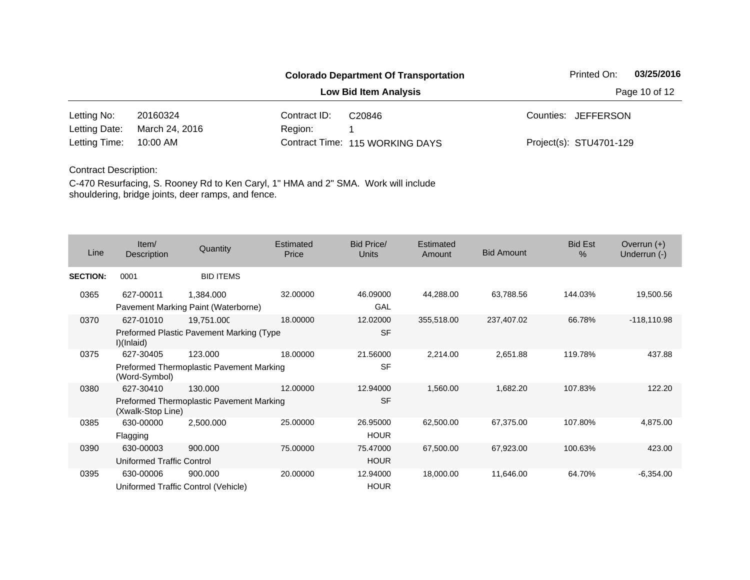#### **Colorado Department Of Transportation** Printed On: 03/25/2016 **Low Bid Item Analysis Page 10 of 12** 20160324 Contract ID: 10:00 AM Region: 1 Letting No: 20160324 Contract ID: C20846 Contract ID: C10846 Counties: JEFFERSON 115 WORKING DAYS Letting Time: Contract Time:March 24, 2016 Project(s): STU4701-129 Letting Date: C20846

#### Contract Description:

| Line            | Item/<br>Description                   | Quantity                                               | Estimated<br>Price | Bid Price/<br><b>Units</b> | Estimated<br>Amount | <b>Bid Amount</b> | <b>Bid Est</b><br>$\%$ | Overrun $(+)$<br>Underrun (-) |
|-----------------|----------------------------------------|--------------------------------------------------------|--------------------|----------------------------|---------------------|-------------------|------------------------|-------------------------------|
| <b>SECTION:</b> | 0001                                   | <b>BID ITEMS</b>                                       |                    |                            |                     |                   |                        |                               |
| 0365            | 627-00011                              | 1,384.000<br>Pavement Marking Paint (Waterborne)       | 32.00000           | 46.09000<br>GAL            | 44,288.00           | 63,788.56         | 144.03%                | 19,500.56                     |
| 0370            | 627-01010<br>I)(Inlaid)                | 19,751.000<br>Preformed Plastic Pavement Marking (Type | 18.00000           | 12.02000<br><b>SF</b>      | 355,518.00          | 237,407.02        | 66.78%                 | $-118,110.98$                 |
| 0375            | 627-30405<br>(Word-Symbol)             | 123,000<br>Preformed Thermoplastic Pavement Marking    | 18.00000           | 21.56000<br><b>SF</b>      | 2,214.00            | 2,651.88          | 119.78%                | 437.88                        |
| 0380            | 627-30410<br>(Xwalk-Stop Line)         | 130.000<br>Preformed Thermoplastic Pavement Marking    | 12.00000           | 12.94000<br><b>SF</b>      | 1,560.00            | 1,682.20          | 107.83%                | 122.20                        |
| 0385            | 630-00000<br>Flagging                  | 2,500.000                                              | 25.00000           | 26.95000<br><b>HOUR</b>    | 62,500.00           | 67,375.00         | 107.80%                | 4,875.00                      |
| 0390            | 630-00003<br>Uniformed Traffic Control | 900,000                                                | 75.00000           | 75.47000<br><b>HOUR</b>    | 67,500.00           | 67,923.00         | 100.63%                | 423.00                        |
| 0395            | 630-00006                              | 900.000<br>Uniformed Traffic Control (Vehicle)         | 20.00000           | 12.94000<br><b>HOUR</b>    | 18,000.00           | 11,646.00         | 64.70%                 | $-6,354.00$                   |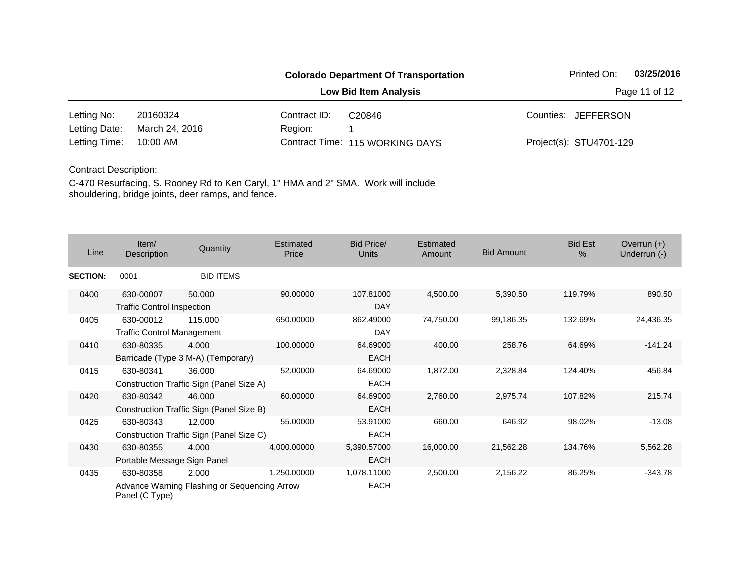# **Colorado Department Of Transportation** Printed On: 03/25/2016 **Low Bid Item Analysis Page 11 of 12**

20160324 Contract ID: 10:00 AM Region: 1 Letting No: 20160324 Contract ID: C20846 Contract ID: C10846 Counties: JEFFERSON 115 WORKING DAYS Letting Time: Contract Time:March 24, 2016 Project(s): STU4701-129 Letting Date: C20846

#### Contract Description:

| Line            | Item/<br>Description                           | Quantity                                              | Estimated<br>Price | Bid Price/<br><b>Units</b> | Estimated<br>Amount | <b>Bid Amount</b> | <b>Bid Est</b><br>$\%$ | Overrun $(+)$<br>Underrun (-) |
|-----------------|------------------------------------------------|-------------------------------------------------------|--------------------|----------------------------|---------------------|-------------------|------------------------|-------------------------------|
| <b>SECTION:</b> | 0001                                           | <b>BID ITEMS</b>                                      |                    |                            |                     |                   |                        |                               |
| 0400            | 630-00007<br><b>Traffic Control Inspection</b> | 50,000                                                | 90.00000           | 107.81000<br><b>DAY</b>    | 4,500.00            | 5,390.50          | 119.79%                | 890.50                        |
| 0405            | 630-00012<br><b>Traffic Control Management</b> | 115.000                                               | 650.00000          | 862.49000<br><b>DAY</b>    | 74,750.00           | 99,186.35         | 132.69%                | 24,436.35                     |
| 0410            | 630-80335                                      | 4.000<br>Barricade (Type 3 M-A) (Temporary)           | 100.00000          | 64.69000<br><b>EACH</b>    | 400.00              | 258.76            | 64.69%                 | $-141.24$                     |
| 0415            | 630-80341                                      | 36.000<br>Construction Traffic Sign (Panel Size A)    | 52.00000           | 64.69000<br><b>EACH</b>    | 1,872.00            | 2,328.84          | 124.40%                | 456.84                        |
| 0420            | 630-80342                                      | 46.000<br>Construction Traffic Sign (Panel Size B)    | 60.00000           | 64.69000<br><b>EACH</b>    | 2,760.00            | 2,975.74          | 107.82%                | 215.74                        |
| 0425            | 630-80343                                      | 12.000<br>Construction Traffic Sign (Panel Size C)    | 55.00000           | 53.91000<br><b>EACH</b>    | 660.00              | 646.92            | 98.02%                 | $-13.08$                      |
| 0430            | 630-80355<br>Portable Message Sign Panel       | 4.000                                                 | 4,000.00000        | 5,390.57000<br><b>EACH</b> | 16,000.00           | 21,562.28         | 134.76%                | 5,562.28                      |
| 0435            | 630-80358<br>Panel (C Type)                    | 2.000<br>Advance Warning Flashing or Sequencing Arrow | 1.250.00000        | 1,078.11000<br><b>EACH</b> | 2,500.00            | 2,156.22          | 86.25%                 | $-343.78$                     |